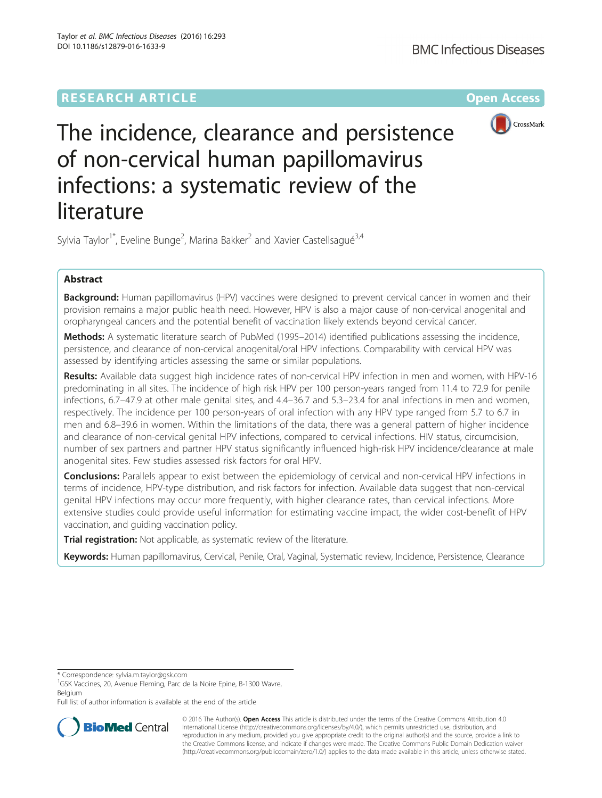## **RESEARCH ARTICLE Example 2014 12:30 The Company Access** (RESEARCH ARTICLE



# The incidence, clearance and persistence of non-cervical human papillomavirus infections: a systematic review of the literature

Sylvia Taylor<sup>1\*</sup>, Eveline Bunge<sup>2</sup>, Marina Bakker<sup>2</sup> and Xavier Castellsagué<sup>3,4</sup>

## Abstract

Background: Human papillomavirus (HPV) vaccines were designed to prevent cervical cancer in women and their provision remains a major public health need. However, HPV is also a major cause of non-cervical anogenital and oropharyngeal cancers and the potential benefit of vaccination likely extends beyond cervical cancer.

Methods: A systematic literature search of PubMed (1995–2014) identified publications assessing the incidence, persistence, and clearance of non-cervical anogenital/oral HPV infections. Comparability with cervical HPV was assessed by identifying articles assessing the same or similar populations.

Results: Available data suggest high incidence rates of non-cervical HPV infection in men and women, with HPV-16 predominating in all sites. The incidence of high risk HPV per 100 person-years ranged from 11.4 to 72.9 for penile infections, 6.7–47.9 at other male genital sites, and 4.4–36.7 and 5.3–23.4 for anal infections in men and women, respectively. The incidence per 100 person-years of oral infection with any HPV type ranged from 5.7 to 6.7 in men and 6.8–39.6 in women. Within the limitations of the data, there was a general pattern of higher incidence and clearance of non-cervical genital HPV infections, compared to cervical infections. HIV status, circumcision, number of sex partners and partner HPV status significantly influenced high-risk HPV incidence/clearance at male anogenital sites. Few studies assessed risk factors for oral HPV.

**Conclusions:** Parallels appear to exist between the epidemiology of cervical and non-cervical HPV infections in terms of incidence, HPV-type distribution, and risk factors for infection. Available data suggest that non-cervical genital HPV infections may occur more frequently, with higher clearance rates, than cervical infections. More extensive studies could provide useful information for estimating vaccine impact, the wider cost-benefit of HPV vaccination, and guiding vaccination policy.

Trial registration: Not applicable, as systematic review of the literature.

Keywords: Human papillomavirus, Cervical, Penile, Oral, Vaginal, Systematic review, Incidence, Persistence, Clearance

\* Correspondence: [sylvia.m.taylor@gsk.com](mailto:sylvia.m.taylor@gsk.com) <sup>1</sup>

<sup>1</sup>GSK Vaccines, 20, Avenue Fleming, Parc de la Noire Epine, B-1300 Wavre, Belgium

Full list of author information is available at the end of the article



© 2016 The Author(s). Open Access This article is distributed under the terms of the Creative Commons Attribution 4.0 International License [\(http://creativecommons.org/licenses/by/4.0/](http://creativecommons.org/licenses/by/4.0/)), which permits unrestricted use, distribution, and reproduction in any medium, provided you give appropriate credit to the original author(s) and the source, provide a link to the Creative Commons license, and indicate if changes were made. The Creative Commons Public Domain Dedication waiver [\(http://creativecommons.org/publicdomain/zero/1.0/](http://creativecommons.org/publicdomain/zero/1.0/)) applies to the data made available in this article, unless otherwise stated.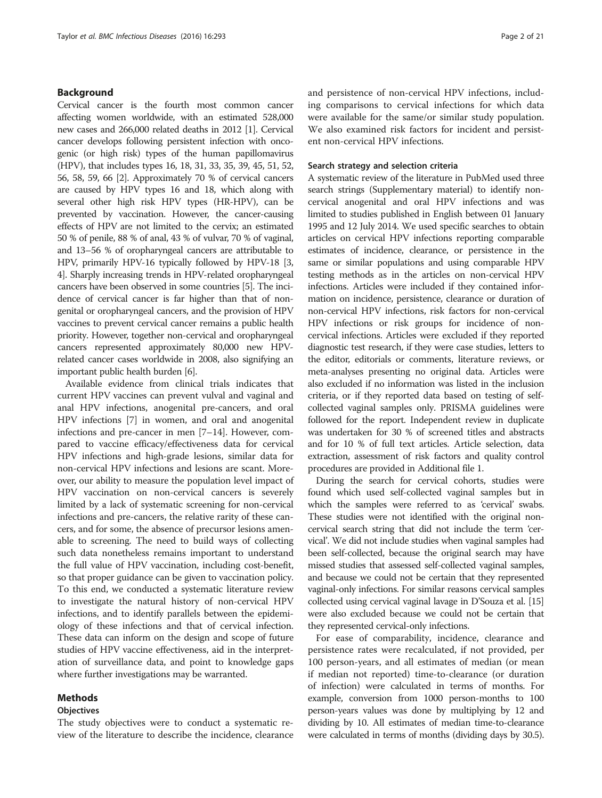## Background

Cervical cancer is the fourth most common cancer affecting women worldwide, with an estimated 528,000 new cases and 266,000 related deaths in 2012 [\[1](#page-18-0)]. Cervical cancer develops following persistent infection with oncogenic (or high risk) types of the human papillomavirus (HPV), that includes types 16, 18, 31, 33, 35, 39, 45, 51, 52, 56, 58, 59, 66 [\[2\]](#page-18-0). Approximately 70 % of cervical cancers are caused by HPV types 16 and 18, which along with several other high risk HPV types (HR-HPV), can be prevented by vaccination. However, the cancer-causing effects of HPV are not limited to the cervix; an estimated 50 % of penile, 88 % of anal, 43 % of vulvar, 70 % of vaginal, and 13–56 % of oropharyngeal cancers are attributable to HPV, primarily HPV-16 typically followed by HPV-18 [[3](#page-18-0), [4](#page-18-0)]. Sharply increasing trends in HPV-related oropharyngeal cancers have been observed in some countries [\[5](#page-18-0)]. The incidence of cervical cancer is far higher than that of nongenital or oropharyngeal cancers, and the provision of HPV vaccines to prevent cervical cancer remains a public health priority. However, together non-cervical and oropharyngeal cancers represented approximately 80,000 new HPVrelated cancer cases worldwide in 2008, also signifying an important public health burden [\[6](#page-18-0)].

Available evidence from clinical trials indicates that current HPV vaccines can prevent vulval and vaginal and anal HPV infections, anogenital pre-cancers, and oral HPV infections [\[7\]](#page-18-0) in women, and oral and anogenital infections and pre-cancer in men [[7](#page-18-0)–[14\]](#page-19-0). However, compared to vaccine efficacy/effectiveness data for cervical HPV infections and high-grade lesions, similar data for non-cervical HPV infections and lesions are scant. Moreover, our ability to measure the population level impact of HPV vaccination on non-cervical cancers is severely limited by a lack of systematic screening for non-cervical infections and pre-cancers, the relative rarity of these cancers, and for some, the absence of precursor lesions amenable to screening. The need to build ways of collecting such data nonetheless remains important to understand the full value of HPV vaccination, including cost-benefit, so that proper guidance can be given to vaccination policy. To this end, we conducted a systematic literature review to investigate the natural history of non-cervical HPV infections, and to identify parallels between the epidemiology of these infections and that of cervical infection. These data can inform on the design and scope of future studies of HPV vaccine effectiveness, aid in the interpretation of surveillance data, and point to knowledge gaps where further investigations may be warranted.

## Methods

## **Objectives**

The study objectives were to conduct a systematic review of the literature to describe the incidence, clearance and persistence of non-cervical HPV infections, including comparisons to cervical infections for which data were available for the same/or similar study population. We also examined risk factors for incident and persistent non-cervical HPV infections.

## Search strategy and selection criteria

A systematic review of the literature in PubMed used three search strings (Supplementary material) to identify noncervical anogenital and oral HPV infections and was limited to studies published in English between 01 January 1995 and 12 July 2014. We used specific searches to obtain articles on cervical HPV infections reporting comparable estimates of incidence, clearance, or persistence in the same or similar populations and using comparable HPV testing methods as in the articles on non-cervical HPV infections. Articles were included if they contained information on incidence, persistence, clearance or duration of non-cervical HPV infections, risk factors for non-cervical HPV infections or risk groups for incidence of noncervical infections. Articles were excluded if they reported diagnostic test research, if they were case studies, letters to the editor, editorials or comments, literature reviews, or meta-analyses presenting no original data. Articles were also excluded if no information was listed in the inclusion criteria, or if they reported data based on testing of selfcollected vaginal samples only. PRISMA guidelines were followed for the report. Independent review in duplicate was undertaken for 30 % of screened titles and abstracts and for 10 % of full text articles. Article selection, data extraction, assessment of risk factors and quality control procedures are provided in Additional file [1.](#page-18-0)

During the search for cervical cohorts, studies were found which used self-collected vaginal samples but in which the samples were referred to as 'cervical' swabs. These studies were not identified with the original noncervical search string that did not include the term 'cervical'. We did not include studies when vaginal samples had been self-collected, because the original search may have missed studies that assessed self-collected vaginal samples, and because we could not be certain that they represented vaginal-only infections. For similar reasons cervical samples collected using cervical vaginal lavage in D'Souza et al. [\[15](#page-19-0)] were also excluded because we could not be certain that they represented cervical-only infections.

For ease of comparability, incidence, clearance and persistence rates were recalculated, if not provided, per 100 person-years, and all estimates of median (or mean if median not reported) time-to-clearance (or duration of infection) were calculated in terms of months. For example, conversion from 1000 person-months to 100 person-years values was done by multiplying by 12 and dividing by 10. All estimates of median time-to-clearance were calculated in terms of months (dividing days by 30.5).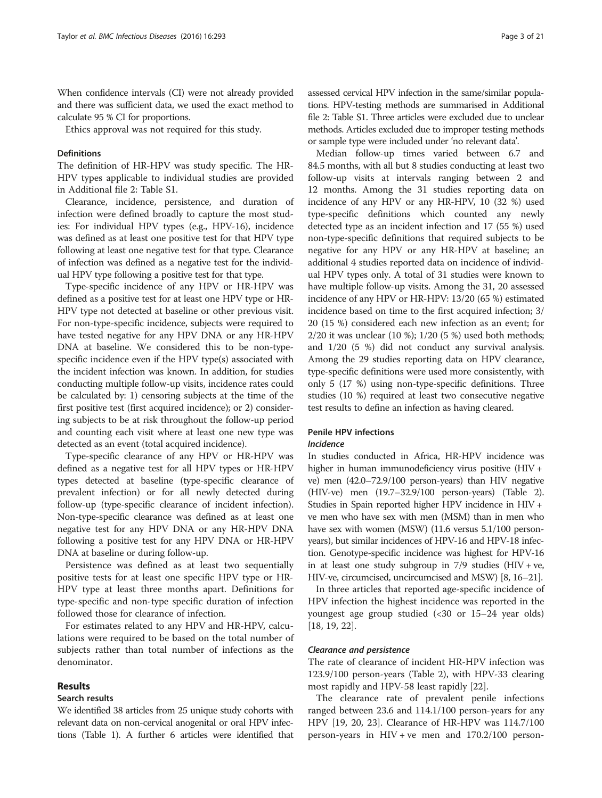When confidence intervals (CI) were not already provided and there was sufficient data, we used the exact method to calculate 95 % CI for proportions.

Ethics approval was not required for this study.

## **Definitions**

The definition of HR-HPV was study specific. The HR-HPV types applicable to individual studies are provided in Additional file [2:](#page-18-0) Table S1.

Clearance, incidence, persistence, and duration of infection were defined broadly to capture the most studies: For individual HPV types (e.g., HPV-16), incidence was defined as at least one positive test for that HPV type following at least one negative test for that type. Clearance of infection was defined as a negative test for the individual HPV type following a positive test for that type.

Type-specific incidence of any HPV or HR-HPV was defined as a positive test for at least one HPV type or HR-HPV type not detected at baseline or other previous visit. For non-type-specific incidence, subjects were required to have tested negative for any HPV DNA or any HR-HPV DNA at baseline. We considered this to be non-typespecific incidence even if the HPV type(s) associated with the incident infection was known. In addition, for studies conducting multiple follow-up visits, incidence rates could be calculated by: 1) censoring subjects at the time of the first positive test (first acquired incidence); or 2) considering subjects to be at risk throughout the follow-up period and counting each visit where at least one new type was detected as an event (total acquired incidence).

Type-specific clearance of any HPV or HR-HPV was defined as a negative test for all HPV types or HR-HPV types detected at baseline (type-specific clearance of prevalent infection) or for all newly detected during follow-up (type-specific clearance of incident infection). Non-type-specific clearance was defined as at least one negative test for any HPV DNA or any HR-HPV DNA following a positive test for any HPV DNA or HR-HPV DNA at baseline or during follow-up.

Persistence was defined as at least two sequentially positive tests for at least one specific HPV type or HR-HPV type at least three months apart. Definitions for type-specific and non-type specific duration of infection followed those for clearance of infection.

For estimates related to any HPV and HR-HPV, calculations were required to be based on the total number of subjects rather than total number of infections as the denominator.

## Results

#### Search results

We identified 38 articles from 25 unique study cohorts with relevant data on non-cervical anogenital or oral HPV infections (Table [1\)](#page-3-0). A further 6 articles were identified that

assessed cervical HPV infection in the same/similar populations. HPV-testing methods are summarised in Additional file [2:](#page-18-0) Table S1. Three articles were excluded due to unclear methods. Articles excluded due to improper testing methods or sample type were included under 'no relevant data'.

Median follow-up times varied between 6.7 and 84.5 months, with all but 8 studies conducting at least two follow-up visits at intervals ranging between 2 and 12 months. Among the 31 studies reporting data on incidence of any HPV or any HR-HPV, 10 (32 %) used type-specific definitions which counted any newly detected type as an incident infection and 17 (55 %) used non-type-specific definitions that required subjects to be negative for any HPV or any HR-HPV at baseline; an additional 4 studies reported data on incidence of individual HPV types only. A total of 31 studies were known to have multiple follow-up visits. Among the 31, 20 assessed incidence of any HPV or HR-HPV: 13/20 (65 %) estimated incidence based on time to the first acquired infection; 3/ 20 (15 %) considered each new infection as an event; for 2/20 it was unclear (10 %); 1/20 (5 %) used both methods; and 1/20 (5 %) did not conduct any survival analysis. Among the 29 studies reporting data on HPV clearance, type-specific definitions were used more consistently, with only 5 (17 %) using non-type-specific definitions. Three studies (10 %) required at least two consecutive negative test results to define an infection as having cleared.

## Penile HPV infections Incidence

In studies conducted in Africa, HR-HPV incidence was higher in human immunodeficiency virus positive (HIV + ve) men (42.0–72.9/100 person-years) than HIV negative (HIV-ve) men (19.7–32.9/100 person-years) (Table [2](#page-6-0)). Studies in Spain reported higher HPV incidence in HIV + ve men who have sex with men (MSM) than in men who have sex with women (MSW) (11.6 versus 5.1/100 personyears), but similar incidences of HPV-16 and HPV-18 infection. Genotype-specific incidence was highest for HPV-16 in at least one study subgroup in  $7/9$  studies (HIV + ve, HIV-ve, circumcised, uncircumcised and MSW) [\[8,](#page-18-0) [16](#page-19-0)–[21](#page-19-0)].

In three articles that reported age-specific incidence of HPV infection the highest incidence was reported in the youngest age group studied (<30 or 15–24 year olds) [[18, 19, 22\]](#page-19-0).

## Clearance and persistence

The rate of clearance of incident HR-HPV infection was 123.9/100 person-years (Table [2\)](#page-6-0), with HPV-33 clearing most rapidly and HPV-58 least rapidly [\[22](#page-19-0)].

The clearance rate of prevalent penile infections ranged between 23.6 and 114.1/100 person-years for any HPV [[19, 20](#page-19-0), [23](#page-19-0)]. Clearance of HR-HPV was 114.7/100 person-years in HIV + ve men and 170.2/100 person-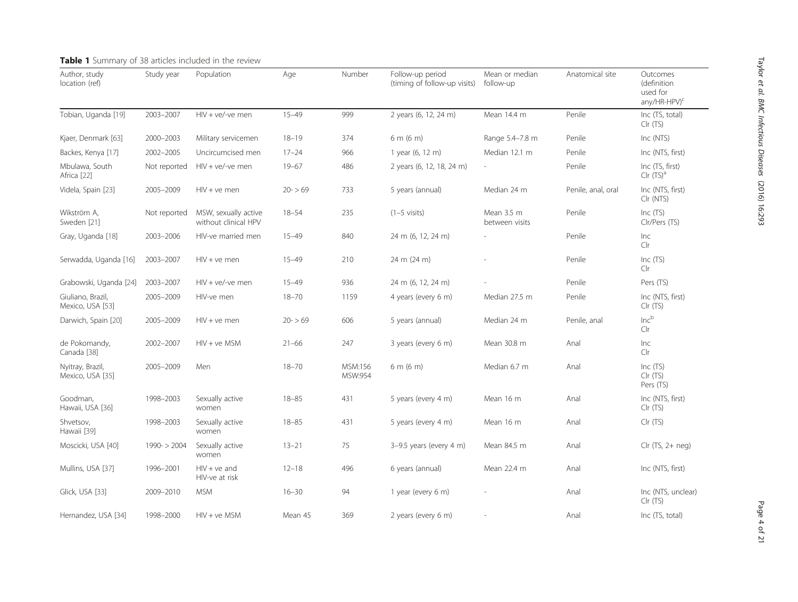<span id="page-3-0"></span>

| Author, study<br>location (ref)       | Study year    | Population                                   | Age       | Number             | Follow-up period<br>(timing of follow-up visits) | Mean or median<br>follow-up  | Anatomical site    | Outcomes<br>(definition<br>used for<br>any/HR-HPV) <sup>c</sup> |
|---------------------------------------|---------------|----------------------------------------------|-----------|--------------------|--------------------------------------------------|------------------------------|--------------------|-----------------------------------------------------------------|
| Tobian, Uganda [19]                   | 2003-2007     | $HIV + ve/-ve$ men                           | $15 - 49$ | 999                | 2 years (6, 12, 24 m)                            | Mean 14.4 m                  | Penile             | Inc (TS, total)<br>Clr (TS)                                     |
| Kjaer, Denmark [63]                   | 2000-2003     | Military servicemen                          | $18 - 19$ | 374                | 6 m (6 m)                                        | Range 5.4-7.8 m              | Penile             | Inc (NTS)                                                       |
| Backes, Kenya [17]                    | 2002-2005     | Uncircumcised men                            | $17 - 24$ | 966                | 1 year (6, 12 m)                                 | Median 12.1 m                | Penile             | Inc (NTS, first)                                                |
| Mbulawa, South<br>Africa [22]         | Not reported  | $HIV + ve/-ve$ men                           | $19 - 67$ | 486                | 2 years (6, 12, 18, 24 m)                        | $\sim$                       | Penile             | Inc (TS, first)<br>Clr(TS) <sup>a</sup>                         |
| Videla, Spain [23]                    | 2005-2009     | $HIV + ve$ men                               | $20 - 59$ | 733                | 5 years (annual)                                 | Median 24 m                  | Penile, anal, oral | Inc (NTS, first)<br>Clr (NTS)                                   |
| Wikström A,<br>Sweden [21]            | Not reported  | MSW, sexually active<br>without clinical HPV | $18 - 54$ | 235                | $(1-5 \text{ visits})$                           | Mean 3.5 m<br>between visits | Penile             | Inc $(TS)$<br>Clr/Pers (TS)                                     |
| Gray, Uganda [18]                     | 2003-2006     | HIV-ve married men                           | $15 - 49$ | 840                | 24 m (6, 12, 24 m)                               |                              | Penile             | Inc<br>Clr                                                      |
| Serwadda, Uganda [16]                 | 2003-2007     | $HIV + ve$ men                               | $15 - 49$ | 210                | 24 m (24 m)                                      |                              | Penile             | Inc (TS)<br>Clr                                                 |
| Grabowski, Uganda [24]                | 2003-2007     | $HIV + ve/-ve$ men                           | $15 - 49$ | 936                | 24 m (6, 12, 24 m)                               |                              | Penile             | Pers (TS)                                                       |
| Giuliano, Brazil,<br>Mexico, USA [53] | 2005-2009     | HIV-ve men                                   | $18 - 70$ | 1159               | 4 years (every 6 m)                              | Median 27.5 m                | Penile             | Inc (NTS, first)<br>Clr (TS)                                    |
| Darwich, Spain [20]                   | 2005-2009     | $HIV + ve$ men                               | $20 - 59$ | 606                | 5 years (annual)                                 | Median 24 m                  | Penile, anal       | $Inc^b$<br>Clr                                                  |
| de Pokomandy,<br>Canada [38]          | 2002-2007     | $HIV + ve MSM$                               | $21 - 66$ | 247                | 3 years (every 6 m)                              | Mean 30.8 m                  | Anal               | Inc<br>Clr                                                      |
| Nyitray, Brazil,<br>Mexico, USA [35]  | 2005-2009     | Men                                          | $18 - 70$ | MSM:156<br>MSW:954 | 6 m (6 m)                                        | Median 6.7 m                 | Anal               | Inc(TS)<br>Clr(TS)<br>Pers (TS)                                 |
| Goodman,<br>Hawaii, USA [36]          | 1998-2003     | Sexually active<br>women                     | $18 - 85$ | 431                | 5 years (every 4 m)                              | Mean 16 m                    | Anal               | Inc (NTS, first)<br>Clr (TS)                                    |
| Shvetsov,<br>Hawaii [39]              | 1998-2003     | Sexually active<br>women                     | $18 - 85$ | 431                | 5 years (every 4 m)                              | Mean 16 m                    | Anal               | Clr (TS)                                                        |
| Moscicki, USA [40]                    | $1990 - 2004$ | Sexually active<br>women                     | $13 - 21$ | 75                 | 3-9.5 years (every 4 m)                          | Mean 84.5 m                  | Anal               | Clr (TS, 2+ neg)                                                |
| Mullins, USA [37]                     | 1996-2001     | $HIV + ve$ and<br>HIV-ve at risk             | $12 - 18$ | 496                | 6 years (annual)                                 | Mean 22.4 m                  | Anal               | Inc (NTS, first)                                                |
| Glick, USA [33]                       | 2009-2010     | <b>MSM</b>                                   | $16 - 30$ | 94                 | 1 year (every 6 m)                               |                              | Anal               | Inc (NTS, unclear)<br>Clr (TS)                                  |
| Hernandez, USA [34]                   | 1998-2000     | $HIV + ve MSM$                               | Mean 45   | 369                | 2 years (every 6 m)                              |                              | Anal               | Inc (TS, total)                                                 |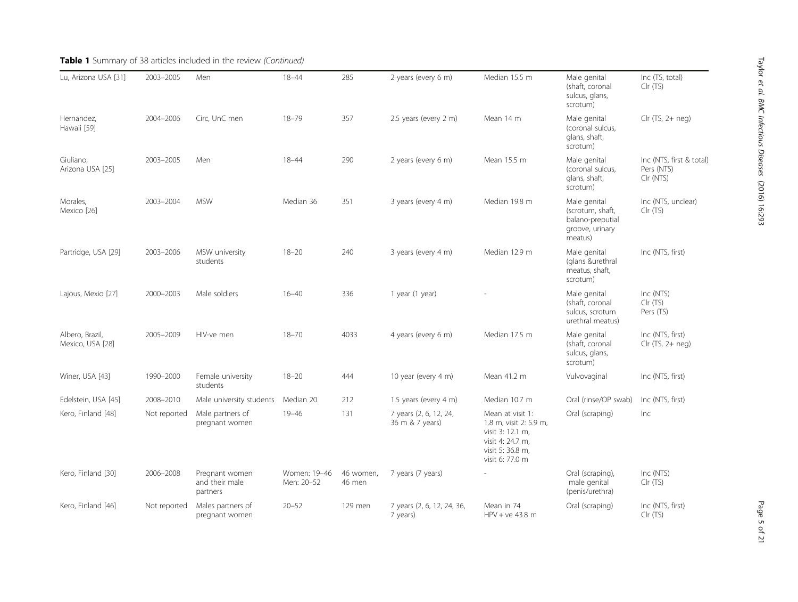| Lu, Arizona USA [31]                | 2003-2005    | Men                                          | $18 - 44$                  | 285                 | 2 years (every 6 m)                       | Median 15.5 m                                                                                                             | Male genital<br>(shaft, coronal<br>sulcus, glans,<br>scrotum)                      | Inc (TS, total)<br>Clr (TS)                         |
|-------------------------------------|--------------|----------------------------------------------|----------------------------|---------------------|-------------------------------------------|---------------------------------------------------------------------------------------------------------------------------|------------------------------------------------------------------------------------|-----------------------------------------------------|
| Hernandez,<br>Hawaii [59]           | 2004-2006    | Circ, UnC men                                | $18 - 79$                  | 357                 | 2.5 years (every 2 m)                     | Mean 14 m                                                                                                                 | Male genital<br>(coronal sulcus,<br>glans, shaft,<br>scrotum)                      | $Clr$ (TS, 2+ neg)                                  |
| Giuliano,<br>Arizona USA [25]       | 2003-2005    | Men                                          | $18 - 44$                  | 290                 | 2 years (every 6 m)                       | Mean 15.5 m                                                                                                               | Male genital<br>(coronal sulcus,<br>glans, shaft,<br>scrotum)                      | Inc (NTS, first & total)<br>Pers (NTS)<br>Clr (NTS) |
| Morales.<br>Mexico [26]             | 2003-2004    | <b>MSW</b>                                   | Median 36                  | 351                 | 3 years (every 4 m)                       | Median 19.8 m                                                                                                             | Male genital<br>(scrotum, shaft,<br>balano-preputial<br>groove, urinary<br>meatus) | Inc (NTS, unclear)<br>Clr (TS)                      |
| Partridge, USA [29]                 | 2003-2006    | MSW university<br>students                   | $18 - 20$                  | 240                 | 3 years (every 4 m)                       | Median 12.9 m                                                                                                             | Male genital<br>(glans &urethral<br>meatus, shaft,<br>scrotum)                     | Inc (NTS, first)                                    |
| Lajous, Mexio [27]                  | 2000-2003    | Male soldiers                                | $16 - 40$                  | 336                 | 1 year (1 year)                           |                                                                                                                           | Male genital<br>(shaft, coronal<br>sulcus, scrotum<br>urethral meatus)             | Inc (NTS)<br>Clr (TS)<br>Pers (TS)                  |
| Albero, Brazil,<br>Mexico, USA [28] | 2005-2009    | HIV-ve men                                   | $18 - 70$                  | 4033                | 4 years (every 6 m)                       | Median 17.5 m                                                                                                             | Male genital<br>(shaft, coronal<br>sulcus, glans,<br>scrotum)                      | Inc (NTS, first)<br>$Clr$ (TS, 2+ neg)              |
| Winer, USA [43]                     | 1990-2000    | Female university<br>students                | $18 - 20$                  | 444                 | 10 year (every 4 m)                       | Mean 41.2 m                                                                                                               | Vulvovaginal                                                                       | Inc (NTS, first)                                    |
| Edelstein, USA [45]                 | 2008-2010    | Male university students                     | Median 20                  | 212                 | 1.5 years (every 4 m)                     | Median 10.7 m                                                                                                             | Oral (rinse/OP swab)                                                               | Inc (NTS, first)                                    |
| Kero, Finland [48]                  | Not reported | Male partners of<br>pregnant women           | $19 - 46$                  | 131                 | 7 years (2, 6, 12, 24,<br>36 m & 7 years) | Mean at visit 1:<br>1.8 m, visit 2: 5.9 m,<br>visit 3: 12.1 m,<br>visit 4: 24.7 m,<br>visit 5: 36.8 m,<br>visit 6: 77.0 m | Oral (scraping)                                                                    | Inc                                                 |
| Kero, Finland [30]                  | 2006-2008    | Pregnant women<br>and their male<br>partners | Women: 19-46<br>Men: 20-52 | 46 women,<br>46 men | 7 years (7 years)                         |                                                                                                                           | Oral (scraping),<br>male genital<br>(penis/urethra)                                | Inc (NTS)<br>Clr (TS)                               |
| Kero, Finland [46]                  | Not reported | Males partners of<br>pregnant women          | $20 - 52$                  | 129 men             | 7 years (2, 6, 12, 24, 36,<br>7 years)    | Mean in 74<br>$HPV + ve 43.8 m$                                                                                           | Oral (scraping)                                                                    | Inc (NTS, first)<br>Clr(TS)                         |

## Table 1 Summary of 38 articles included in the review (Continued)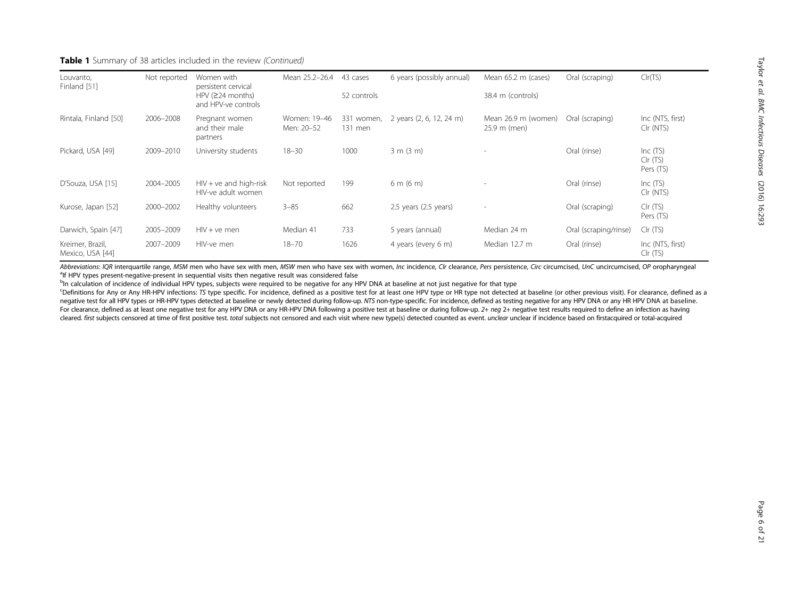## **Table 1** Summary of 38 articles included in the review (Continued)

| Louvanto,<br>Finland [51]            | Not reported | Women with<br>persistent cervical                | Mean 25.2-26.4             | 43 cases              | 6 years (possibly annual)   | Mean 65.2 m (cases)                 | Oral (scraping)       | Clr(TS)                             |
|--------------------------------------|--------------|--------------------------------------------------|----------------------------|-----------------------|-----------------------------|-------------------------------------|-----------------------|-------------------------------------|
|                                      |              | $HPV$ ( $\geq$ 24 months)<br>and HPV-ve controls |                            | 52 controls           |                             | 38.4 m (controls)                   |                       |                                     |
| Rintala, Finland [50]                | 2006-2008    | Pregnant women<br>and their male<br>partners     | Women: 19-46<br>Men: 20-52 | 331 women,<br>131 men | 2 years (2, 6, 12, 24 m)    | Mean 26.9 m (women)<br>25.9 m (men) | Oral (scraping)       | Inc (NTS, first)<br>Clr (NTS)       |
| Pickard, USA [49]                    | 2009-2010    | University students                              | $18 - 30$                  | 1000                  | 3 m (3 m)                   | $\overline{\phantom{a}}$            | Oral (rinse)          | Inc $(TS)$<br>Clr (TS)<br>Pers (TS) |
| D'Souza, USA [15]                    | 2004-2005    | $HIV + ve$ and high-risk<br>HIV-ve adult women   | Not reported               | 199                   | $6 \text{ m} (6 \text{ m})$ | $\overline{\phantom{a}}$            | Oral (rinse)          | Inc $(TS)$<br>Clr (NTS)             |
| Kurose, Japan [52]                   | 2000-2002    | Healthy volunteers                               | $3 - 85$                   | 662                   | 2.5 years (2.5 years)       | $\overline{\phantom{a}}$            | Oral (scraping)       | CIr (TS)<br>Pers (TS)               |
| Darwich, Spain [47]                  | 2005-2009    | $HIV + ve$ men                                   | Median 41                  | 733                   | 5 years (annual)            | Median 24 m                         | Oral (scraping/rinse) | Clr (TS)                            |
| Kreimer, Brazil,<br>Mexico, USA [44] | 2007-2009    | HIV-ve men                                       | $18 - 70$                  | 1626                  | 4 years (every 6 m)         | Median 12.7 m                       | Oral (rinse)          | Inc (NTS, first)<br>Clr(TS)         |

Abbreviations: IOR interquartile range, MSM men who have sex with men, MSW men who have sex with women, Inc incidence, CIr clearance, Pers persistence, Circ circumcised, UnC uncircumcised, OP oropharyngeal <sup>a</sup>lf HPV types present-negative-present in sequential visits then negative result was considered false

<sup>b</sup>In calculation of incidence of individual HPV types, subjects were required to be negative for any HPV DNA at baseline at not just negative for that type

CDefinitions for Any or Any HR-HPV infections: TS type specific. For incidence, defined as a positive test for at least one HPV type or HR type not detected at baseline (or other previous visit). For clearance, defined as negative test for all HPV types or HR-HPV types detected at baseline or newly detected during follow-up. NTS non-type-specific. For incidence, defined as testing negative for any HPV DNA or any HR HPV DNA at baseline.<br>For For clearance, defined as at least one negative test for any HPV DNA or any HR-HPV DNA following a positive test at baseline or during follow-up. 2+ *neg* 2+ negative test results required to define an infection as having<br> cleared. first subjects censored at time of first positive test. total subjects not censored and each visit where new type(s) detected counted as event. unclear unclear if incidence based on firstacquired or total-acquired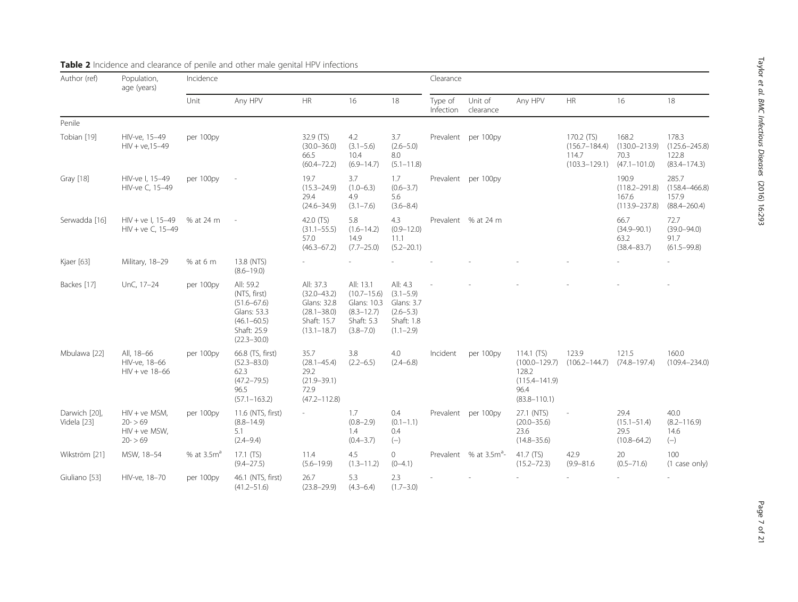| Author (ref)                 | Population,<br>age (years)                                    | Incidence              |                                                                                                                  |                                                                                                  |                                                                                              |                                                                                         | Clearance            |                                    |                                                                                             |                                                               |                                                          |                                                         |
|------------------------------|---------------------------------------------------------------|------------------------|------------------------------------------------------------------------------------------------------------------|--------------------------------------------------------------------------------------------------|----------------------------------------------------------------------------------------------|-----------------------------------------------------------------------------------------|----------------------|------------------------------------|---------------------------------------------------------------------------------------------|---------------------------------------------------------------|----------------------------------------------------------|---------------------------------------------------------|
|                              |                                                               | Unit                   | Any HPV                                                                                                          | HR                                                                                               | 16                                                                                           | 18                                                                                      | Type of<br>Infection | Unit of<br>clearance               | Any HPV                                                                                     | HR                                                            | 16                                                       | 18                                                      |
| Penile                       |                                                               |                        |                                                                                                                  |                                                                                                  |                                                                                              |                                                                                         |                      |                                    |                                                                                             |                                                               |                                                          |                                                         |
| Tobian [19]                  | HIV-ve, 15-49<br>$HIV + ve, 15-49$                            | per 100py              |                                                                                                                  | 32.9 (TS)<br>$(30.0 - 36.0)$<br>66.5<br>$(60.4 - 72.2)$                                          | 4.2<br>$(3.1 - 5.6)$<br>10.4<br>$(6.9 - 14.7)$                                               | 3.7<br>$(2.6 - 5.0)$<br>8.0<br>$(5.1 - 11.8)$                                           |                      | Prevalent per 100py                |                                                                                             | 170.2 (TS)<br>$(156.7 - 184.4)$<br>114.7<br>$(103.3 - 129.1)$ | 168.2<br>$(130.0 - 213.9)$<br>70.3<br>$(47.1 - 101.0)$   | 178.3<br>$(125.6 - 245.8)$<br>122.8<br>$(83.4 - 174.3)$ |
| Gray [18]                    | HIV-ve I, 15-49<br>HIV-ve C, 15-49                            | per 100py              |                                                                                                                  | 19.7<br>$(15.3 - 24.9)$<br>29.4<br>$(24.6 - 34.9)$                                               | 3.7<br>$(1.0 - 6.3)$<br>4.9<br>$(3.1 - 7.6)$                                                 | 1.7<br>$(0.6 - 3.7)$<br>5.6<br>$(3.6 - 8.4)$                                            |                      | Prevalent per 100py                |                                                                                             |                                                               | 190.9<br>$(118.2 - 291.8)$<br>167.6<br>$(113.9 - 237.8)$ | 285.7<br>$(158.4 - 466.8)$<br>157.9<br>$(88.4 - 260.4)$ |
| Serwadda [16]                | $HIV + ve 1, 15-49$<br>$HIV + ve C, 15-49$                    | % at 24 m              |                                                                                                                  | 42.0 (TS)<br>$(31.1 - 55.5)$<br>57.0<br>$(46.3 - 67.2)$                                          | 5.8<br>$(1.6 - 14.2)$<br>14.9<br>$(7.7 - 25.0)$                                              | 4.3<br>$(0.9 - 12.0)$<br>11.1<br>$(5.2 - 20.1)$                                         |                      | Prevalent % at 24 m                |                                                                                             |                                                               | 66.7<br>$(34.9 - 90.1)$<br>63.2<br>$(38.4 - 83.7)$       | 72.7<br>$(39.0 - 94.0)$<br>91.7<br>$(61.5 - 99.8)$      |
| Kjaer [63]                   | Military, 18-29                                               | % at 6 m               | 13.8 (NTS)<br>$(8.6 - 19.0)$                                                                                     |                                                                                                  |                                                                                              |                                                                                         |                      |                                    |                                                                                             |                                                               |                                                          |                                                         |
| Backes [17]                  | UnC, 17-24                                                    | per 100py              | All: 59.2<br>(NTS, first)<br>$(51.6 - 67.6)$<br>Glans: 53.3<br>$(46.1 - 60.5)$<br>Shaft: 25.9<br>$(22.3 - 30.0)$ | All: 37.3<br>$(32.0 - 43.2)$<br>Glans: 32.8<br>$(28.1 - 38.0)$<br>Shaft: 15.7<br>$(13.1 - 18.7)$ | All: 13.1<br>$(10.7 - 15.6)$<br>Glans: 10.3<br>$(8.3 - 12.7)$<br>Shaft: 5.3<br>$(3.8 - 7.0)$ | All: 4.3<br>$(3.1 - 5.9)$<br>Glans: 3.7<br>$(2.6 - 5.3)$<br>Shaft: 1.8<br>$(1.1 - 2.9)$ |                      |                                    |                                                                                             |                                                               |                                                          |                                                         |
| Mbulawa [22]                 | All, 18-66<br>HIV-ve, 18-66<br>$HIV + ve 18-66$               | per 100py              | 66.8 (TS, first)<br>$(52.3 - 83.0)$<br>62.3<br>$(47.2 - 79.5)$<br>96.5<br>$(57.1 - 163.2)$                       | 35.7<br>$(28.1 - 45.4)$<br>29.2<br>$(21.9 - 39.1)$<br>72.9<br>$(47.2 - 112.8)$                   | 3.8<br>$(2.2 - 6.5)$                                                                         | 4.0<br>$(2.4 - 6.8)$                                                                    | Incident             | per 100py                          | 114.1 $(TS)$<br>$(100.0 - 129.7)$<br>128.2<br>$(115.4 - 141.9)$<br>96.4<br>$(83.8 - 110.1)$ | 123.9<br>$(106.2 - 144.7)$                                    | 121.5<br>$(74.8 - 197.4)$                                | 160.0<br>$(109.4 - 234.0)$                              |
| Darwich [20],<br>Videla [23] | $HIV + ve MSM$ ,<br>$20 - 59$<br>$HIV + ve MSW,$<br>$20 - 59$ | per 100py              | 11.6 (NTS, first)<br>$(8.8 - 14.9)$<br>5.1<br>$(2.4 - 9.4)$                                                      |                                                                                                  | 1.7<br>$(0.8 - 2.9)$<br>1.4<br>$(0.4 - 3.7)$                                                 | 0.4<br>$(0.1 - 1.1)$<br>0.4<br>$(-)$                                                    |                      | Prevalent per 100py                | 27.1 (NTS)<br>$(20.0 - 35.6)$<br>23.6<br>$(14.8 - 35.6)$                                    |                                                               | 29.4<br>$(15.1 - 51.4)$<br>29.5<br>$(10.8 - 64.2)$       | 40.0<br>$(8.2 - 116.9)$<br>14.6<br>$(-)$                |
| Wikström [21]                | MSW, 18-54                                                    | % at 3.5m <sup>a</sup> | $17.1$ (TS)<br>$(9.4 - 27.5)$                                                                                    | 11.4<br>$(5.6 - 19.9)$                                                                           | 4.5<br>$(1.3 - 11.2)$                                                                        | 0<br>$(0-4.1)$                                                                          |                      | Prevalent % at 3.5m <sup>a</sup> - | 41.7 (TS)<br>$(15.2 - 72.3)$                                                                | 42.9<br>$(9.9 - 81.6)$                                        | 20<br>$(0.5 - 71.6)$                                     | 100<br>(1 case only)                                    |
| Giuliano [53]                | HIV-ve, 18-70                                                 | per 100py              | 46.1 (NTS, first)<br>$(41.2 - 51.6)$                                                                             | 26.7<br>$(23.8 - 29.9)$                                                                          | 5.3<br>$(4.3 - 6.4)$                                                                         | 2.3<br>$(1.7 - 3.0)$                                                                    |                      |                                    |                                                                                             |                                                               |                                                          |                                                         |

## <span id="page-6-0"></span>Table 2 Incidence and clearance of penile and other male genital HPV infections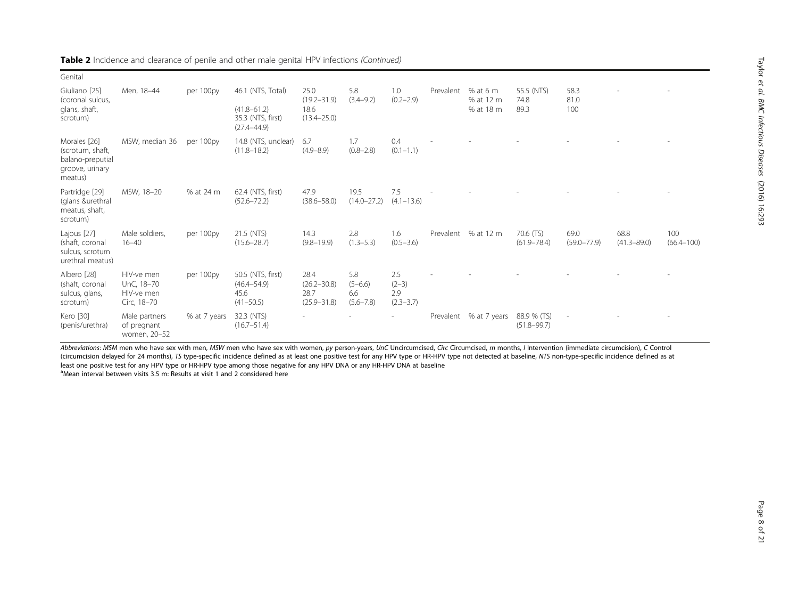| Table 2 Incidence and clearance of penile and other male genital HPV infections (Continued) |  |
|---------------------------------------------------------------------------------------------|--|
|---------------------------------------------------------------------------------------------|--|

| Genital                                                                            |                                                       |              |                                                               |                                                    |                                            |                                        |           |                         |                                |                          |                         |                       |
|------------------------------------------------------------------------------------|-------------------------------------------------------|--------------|---------------------------------------------------------------|----------------------------------------------------|--------------------------------------------|----------------------------------------|-----------|-------------------------|--------------------------------|--------------------------|-------------------------|-----------------------|
| Giuliano [25]<br>(coronal sulcus,                                                  | Men. 18-44                                            | per 100py    | 46.1 (NTS, Total)                                             | 25.0<br>$(19.2 - 31.9)$                            | 5.8<br>$(3.4 - 9.2)$                       | 1.0<br>$(0.2 - 2.9)$                   | Prevalent | % at 6 $m$<br>% at 12 m | 55.5 (NTS)<br>74.8             | 58.3<br>81.0             |                         |                       |
| glans, shaft,<br>scrotum)                                                          |                                                       |              | $(41.8 - 61.2)$<br>35.3 (NTS, first)<br>$(27.4 - 44.9)$       | 18.6<br>$(13.4 - 25.0)$                            |                                            |                                        |           | % at 18 m               | 89.3                           | 100                      |                         |                       |
| Morales [26]<br>(scrotum, shaft,<br>balano-preputial<br>groove, urinary<br>meatus) | MSW, median 36                                        | per 100py    | 14.8 (NTS, unclear)<br>$(11.8 - 18.2)$                        | 6.7<br>$(4.9 - 8.9)$                               | 1.7<br>$(0.8 - 2.8)$                       | 0.4<br>$(0.1 - 1.1)$                   |           |                         |                                |                          |                         |                       |
| Partridge [29]<br>(glans &urethral<br>meatus, shaft,<br>scrotum)                   | MSW, 18-20                                            | % at 24 m    | 62.4 (NTS, first)<br>$(52.6 - 72.2)$                          | 47.9<br>$(38.6 - 58.0)$                            | 19.5<br>$(14.0 - 27.2)$                    | 7.5<br>$(4.1 - 13.6)$                  |           |                         |                                |                          |                         |                       |
| Lajous [27]<br>(shaft, coronal<br>sulcus, scrotum<br>urethral meatus)              | Male soldiers,<br>$16 - 40$                           | per 100py    | 21.5 (NTS)<br>$(15.6 - 28.7)$                                 | 14.3<br>$(9.8 - 19.9)$                             | 2.8<br>$(1.3 - 5.3)$                       | 1.6<br>$(0.5 - 3.6)$                   |           | Prevalent % at 12 m     | 70.6 (TS)<br>$(61.9 - 78.4)$   | 69.0<br>$(59.0 - 77.9)$  | 68.8<br>$(41.3 - 89.0)$ | 100<br>$(66.4 - 100)$ |
| Albero [28]<br>(shaft, coronal<br>sulcus, glans,<br>scrotum)                       | HIV-ve men<br>UnC, 18-70<br>HIV-ve men<br>Circ, 18-70 | per 100py    | 50.5 (NTS, first)<br>$(46.4 - 54.9)$<br>45.6<br>$(41 - 50.5)$ | 28.4<br>$(26.2 - 30.8)$<br>28.7<br>$(25.9 - 31.8)$ | 5.8<br>$(5 - 6.6)$<br>6.6<br>$(5.6 - 7.8)$ | 2.5<br>$(2-3)$<br>2.9<br>$(2.3 - 3.7)$ |           |                         |                                |                          |                         |                       |
| Kero [30]<br>(penis/urethra)                                                       | Male partners<br>of pregnant<br>women, 20-52          | % at 7 years | 32.3 (NTS)<br>$(16.7 - 51.4)$                                 | $\overline{\phantom{a}}$                           |                                            |                                        |           | Prevalent % at 7 years  | 88.9 % (TS)<br>$(51.8 - 99.7)$ | $\overline{\phantom{a}}$ |                         |                       |

Abbreviations: MSM men who have sex with men, MSW men who have sex with women, py person-years, UnC Uncircumcised, Circ Circumcised, m months, I Intervention (immediate circumcision), C Control<br>Circumcision delayed for 24 (circumcision delayed for 24 months), 75 type-specific incidence defined as at least one positive test for any HPV type or HR-HPV type not detected at baseline, N7S non-type-specific incidence defined as at<br>least one posit

<sup>a</sup>Mean interval between visits 3.5 m: Results at visit 1 and 2 considered here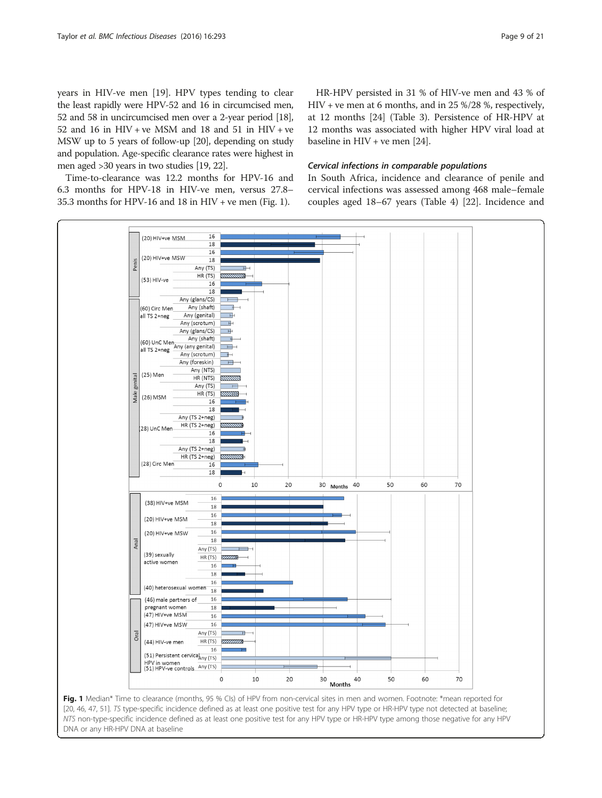<span id="page-8-0"></span>years in HIV-ve men [[19\]](#page-19-0). HPV types tending to clear the least rapidly were HPV-52 and 16 in circumcised men, 52 and 58 in uncircumcised men over a 2-year period [\[18](#page-19-0)], 52 and 16 in HIV + ve MSM and 18 and 51 in HIV + ve MSW up to 5 years of follow-up [\[20](#page-19-0)], depending on study and population. Age-specific clearance rates were highest in men aged >30 years in two studies [\[19](#page-19-0), [22](#page-19-0)].

Time-to-clearance was 12.2 months for HPV-16 and 6.3 months for HPV-18 in HIV-ve men, versus 27.8– 35.3 months for HPV-16 and 18 in HIV + ve men (Fig. 1).

HR-HPV persisted in 31 % of HIV-ve men and 43 % of HIV + ve men at 6 months, and in 25 %/28 %, respectively, at 12 months [[24](#page-19-0)] (Table [3](#page-9-0)). Persistence of HR-HPV at 12 months was associated with higher HPV viral load at baseline in HIV + ve men [\[24](#page-19-0)].

## Cervical infections in comparable populations

In South Africa, incidence and clearance of penile and cervical infections was assessed among 468 male–female couples aged 18–67 years (Table [4\)](#page-10-0) [[22\]](#page-19-0). Incidence and

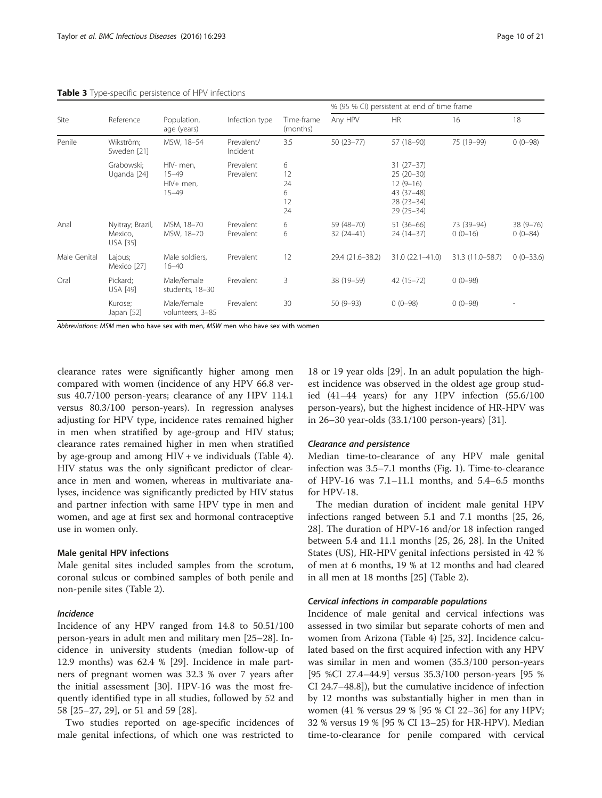|              |                                                |                                                  |                        |                                |                           | % (95 % CI) persistent at end of time frame                                          |                         |                           |
|--------------|------------------------------------------------|--------------------------------------------------|------------------------|--------------------------------|---------------------------|--------------------------------------------------------------------------------------|-------------------------|---------------------------|
| Site         | Reference                                      | Population,<br>age (years)                       | Infection type         | Time-frame<br>(months)         | Any HPV                   | <b>HR</b>                                                                            | 16                      | 18                        |
| Penile       | Wikström;<br>Sweden [21]                       | MSW, 18-54                                       | Prevalent/<br>Incident | 3.5                            | $50(23 - 77)$             | 57 (18-90)                                                                           | 75 (19-99)              | $0(0-98)$                 |
|              | Grabowski:<br>Uganda [24]                      | HIV- men,<br>$15 - 49$<br>HIV+ men,<br>$15 - 49$ | Prevalent<br>Prevalent | 6<br>12<br>24<br>6<br>12<br>24 |                           | $31(27-37)$<br>$25(20-30)$<br>$12(9-16)$<br>43 (37-48)<br>$28(23-34)$<br>$29(25-34)$ |                         |                           |
| Anal         | Nyitray; Brazil,<br>Mexico,<br><b>USA</b> [35] | MSM, 18-70<br>MSW, 18-70                         | Prevalent<br>Prevalent | 6<br>6                         | 59 (48-70)<br>$32(24-41)$ | $51(36-66)$<br>$24(14-37)$                                                           | 73 (39-94)<br>$0(0-16)$ | $38(9 - 76)$<br>$0(0-84)$ |
| Male Genital | Lajous;<br>Mexico [27]                         | Male soldiers,<br>$16 - 40$                      | Prevalent              | 12                             | 29.4 (21.6-38.2)          | $31.0(22.1 - 41.0)$                                                                  | 31.3 (11.0-58.7)        | $0(0-33.6)$               |
| Oral         | Pickard:<br><b>USA [49]</b>                    | Male/female<br>students, 18-30                   | Prevalent              | 3                              | 38 (19 - 59)              | $42(15 - 72)$                                                                        | $0(0-98)$               |                           |
|              | Kurose;<br>Japan [52]                          | Male/female<br>volunteers, 3-85                  | Prevalent              | 30                             | $50(9-93)$                | $0(0-98)$                                                                            | $0(0-98)$               |                           |

<span id="page-9-0"></span>Table 3 Type-specific persistence of HPV infections

Abbreviations: MSM men who have sex with men, MSW men who have sex with women

clearance rates were significantly higher among men compared with women (incidence of any HPV 66.8 versus 40.7/100 person-years; clearance of any HPV 114.1 versus 80.3/100 person-years). In regression analyses adjusting for HPV type, incidence rates remained higher in men when stratified by age-group and HIV status; clearance rates remained higher in men when stratified by age-group and among HIV + ve individuals (Table [4](#page-10-0)). HIV status was the only significant predictor of clearance in men and women, whereas in multivariate analyses, incidence was significantly predicted by HIV status and partner infection with same HPV type in men and women, and age at first sex and hormonal contraceptive use in women only.

#### Male genital HPV infections

Male genital sites included samples from the scrotum, coronal sulcus or combined samples of both penile and non-penile sites (Table [2\)](#page-6-0).

### Incidence

Incidence of any HPV ranged from 14.8 to 50.51/100 person-years in adult men and military men [\[25](#page-19-0)–[28\]](#page-19-0). Incidence in university students (median follow-up of 12.9 months) was 62.4 % [\[29](#page-19-0)]. Incidence in male partners of pregnant women was 32.3 % over 7 years after the initial assessment [[30](#page-19-0)]. HPV-16 was the most frequently identified type in all studies, followed by 52 and 58 [[25](#page-19-0)–[27](#page-19-0), [29](#page-19-0)], or 51 and 59 [[28\]](#page-19-0).

Two studies reported on age-specific incidences of male genital infections, of which one was restricted to

18 or 19 year olds [\[29](#page-19-0)]. In an adult population the highest incidence was observed in the oldest age group studied (41–44 years) for any HPV infection (55.6/100 person-years), but the highest incidence of HR-HPV was in 26–30 year-olds (33.1/100 person-years) [\[31](#page-19-0)].

#### Clearance and persistence

Median time-to-clearance of any HPV male genital infection was 3.5–7.1 months (Fig. [1\)](#page-8-0). Time-to-clearance of HPV-16 was 7.1–11.1 months, and 5.4–6.5 months for HPV-18.

The median duration of incident male genital HPV infections ranged between 5.1 and 7.1 months [\[25](#page-19-0), [26](#page-19-0), [28\]](#page-19-0). The duration of HPV-16 and/or 18 infection ranged between 5.4 and 11.1 months [\[25](#page-19-0), [26](#page-19-0), [28\]](#page-19-0). In the United States (US), HR-HPV genital infections persisted in 42 % of men at 6 months, 19 % at 12 months and had cleared in all men at 18 months [\[25](#page-19-0)] (Table [2\)](#page-6-0).

## Cervical infections in comparable populations

Incidence of male genital and cervical infections was assessed in two similar but separate cohorts of men and women from Arizona (Table [4](#page-10-0)) [\[25](#page-19-0), [32](#page-19-0)]. Incidence calculated based on the first acquired infection with any HPV was similar in men and women (35.3/100 person-years [95 %CI 27.4–44.9] versus 35.3/100 person-years [95 % CI 24.7–48.8]), but the cumulative incidence of infection by 12 months was substantially higher in men than in women (41 % versus 29 % [95 % CI 22–36] for any HPV; 32 % versus 19 % [95 % CI 13–25) for HR-HPV). Median time-to-clearance for penile compared with cervical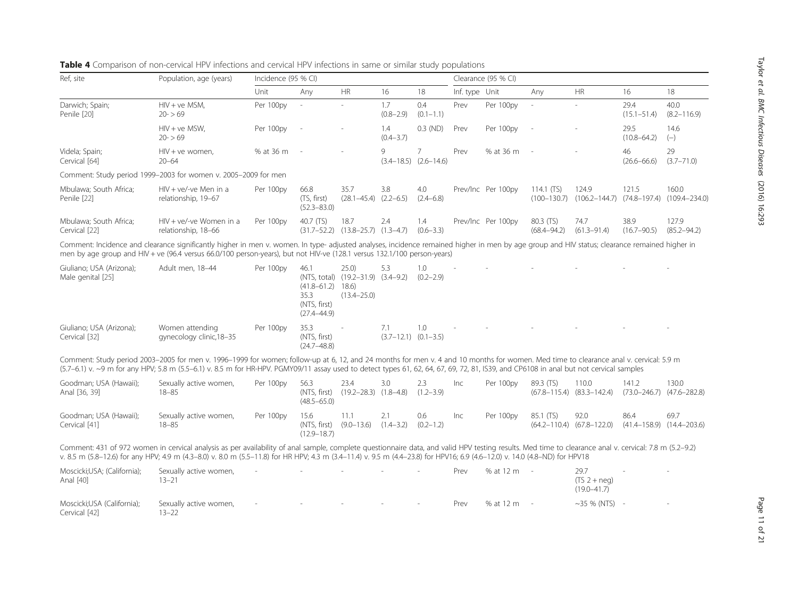| Ref, site                                     | Population, age (years)                                                                                                                                                                                                                                                                                                                                                              | Incidence (95 % CI) |                                                                          |                                                               |                      |                                             |                | Clearance (95 % CI) |                              |                                                       |                         |                                            |
|-----------------------------------------------|--------------------------------------------------------------------------------------------------------------------------------------------------------------------------------------------------------------------------------------------------------------------------------------------------------------------------------------------------------------------------------------|---------------------|--------------------------------------------------------------------------|---------------------------------------------------------------|----------------------|---------------------------------------------|----------------|---------------------|------------------------------|-------------------------------------------------------|-------------------------|--------------------------------------------|
|                                               |                                                                                                                                                                                                                                                                                                                                                                                      | Unit                | Any                                                                      | <b>HR</b>                                                     | 16                   | 18                                          | Inf. type Unit |                     | Any                          | <b>HR</b>                                             | 16                      | 18                                         |
| Darwich; Spain;<br>Penile [20]                | $HIV + ve MSM$ ,<br>$20 - 59$                                                                                                                                                                                                                                                                                                                                                        | Per 100py           | $\overline{\phantom{a}}$                                                 |                                                               | 1.7<br>$(0.8 - 2.9)$ | 0.4<br>$(0.1 - 1.1)$                        | Prev           | Per 100py           |                              |                                                       | 29.4<br>$(15.1 - 51.4)$ | 40.0<br>$(8.2 - 116.9)$                    |
|                                               | $HIV + ve MSW$ ,<br>$20 - 59$                                                                                                                                                                                                                                                                                                                                                        | Per 100py           | $\sim$                                                                   |                                                               | 1.4<br>$(0.4 - 3.7)$ | $0.3$ (ND)                                  | Prev           | Per 100py           |                              |                                                       | 29.5<br>$(10.8 - 64.2)$ | 14.6<br>$(-)$                              |
| Videla; Spain;<br>Cervical [64]               | $HIV + ve$ women.<br>$20 - 64$                                                                                                                                                                                                                                                                                                                                                       | % at 36 m           |                                                                          |                                                               | 9                    | $\overline{7}$<br>$(3.4-18.5)$ $(2.6-14.6)$ | Prev           | % at 36 m           |                              |                                                       | 46<br>$(26.6 - 66.6)$   | 29<br>$(3.7 - 71.0)$                       |
|                                               | Comment: Study period 1999-2003 for women v. 2005-2009 for men                                                                                                                                                                                                                                                                                                                       |                     |                                                                          |                                                               |                      |                                             |                |                     |                              |                                                       |                         |                                            |
| Mbulawa; South Africa;<br>Penile [22]         | $HIV + ve/-ve$ Men in a<br>relationship, 19-67                                                                                                                                                                                                                                                                                                                                       | Per 100py           | 66.8<br>(TS, first)<br>$(52.3 - 83.0)$                                   | 35.7<br>$(28.1 - 45.4)$ $(2.2 - 6.5)$                         | 3.8                  | 4.0<br>$(2.4 - 6.8)$                        |                | Prev/Inc Per 100py  | 114.1 (TS)                   | 124.9<br>$(100-130.7)$ $(106.2-144.7)$ $(74.8-197.4)$ | 121.5                   | 160.0<br>$(109.4 - 234.0)$                 |
| Mbulawa; South Africa;<br>Cervical [22]       | $HIV + ve/-ve Women in a$<br>relationship, 18-66                                                                                                                                                                                                                                                                                                                                     | Per 100py           | 40.7 (TS)                                                                | 18.7<br>$(31.7-52.2)$ $(13.8-25.7)$ $(1.3-4.7)$               | 2.4                  | 1.4<br>$(0.6 - 3.3)$                        |                | Prev/Inc Per 100py  | 80.3 (TS)<br>$(68.4 - 94.2)$ | 74.7<br>$(61.3 - 91.4)$                               | 38.9<br>$(16.7 - 90.5)$ | 127.9<br>$(85.2 - 94.2)$                   |
|                                               | Comment: Incidence and clearance significantly higher in men v. women. In type- adjusted analyses, incidence remained higher in men by age group and HIV status; clearance remained higher in<br>men by age group and HIV + ve (96.4 versus 66.0/100 person-years), but not HIV-ve (128.1 versus 132.1/100 person-years)                                                             |                     |                                                                          |                                                               |                      |                                             |                |                     |                              |                                                       |                         |                                            |
| Giuliano; USA (Arizona);<br>Male genital [25] | Adult men, 18-44                                                                                                                                                                                                                                                                                                                                                                     | Per 100py           | 46.1<br>$(41.8 - 61.2)$ 18.6)<br>35.3<br>(NTS, first)<br>$(27.4 - 44.9)$ | 25.0<br>(NTS, total) (19.2-31.9) (3.4-9.2)<br>$(13.4 - 25.0)$ | 5.3                  | 1.0<br>$(0.2 - 2.9)$                        |                |                     |                              |                                                       |                         |                                            |
| Giuliano; USA (Arizona);<br>Cervical [32]     | Women attending<br>gynecology clinic, 18-35                                                                                                                                                                                                                                                                                                                                          | Per 100py           | 35.3<br>(NTS, first)<br>$(24.7 - 48.8)$                                  |                                                               | 7.1                  | 1.0<br>$(3.7-12.1)$ $(0.1-3.5)$             |                |                     |                              |                                                       |                         |                                            |
|                                               | Comment: Study period 2003-2005 for men v. 1996-1999 for women; follow-up at 6, 12, and 24 months for men v. 4 and 10 months for women. Med time to clearance anal v. cervical: 5.9 m<br>(5.7-6.1) v. ~9 m for any HPV; 5.8 m (5.5-6.1) v. 8.5 m for HR-HPV. PGMY09/11 assay used to detect types 61, 62, 64, 67, 69, 72, 81, IS39, and CP6108 in anal but not cervical samples      |                     |                                                                          |                                                               |                      |                                             |                |                     |                              |                                                       |                         |                                            |
| Goodman; USA (Hawaii);<br>Anal [36, 39]       | Sexually active women,<br>$18 - 85$                                                                                                                                                                                                                                                                                                                                                  | Per 100py           | 56.3<br>(NTS, first)<br>$(48.5 - 65.0)$                                  | 23.4<br>$(19.2 - 28.3)$ $(1.8 - 4.8)$                         | 3.0                  | 2.3<br>$(1.2 - 3.9)$                        | Inc            | Per 100py           | 89.3 (TS)                    | 110.0<br>$(67.8 - 115.4)$ $(83.3 - 142.4)$            | 141.2                   | 130.0<br>$(73.0 - 246.7)$ $(47.6 - 282.8)$ |
| Goodman; USA (Hawaii);<br>Cervical [41]       | Sexually active women,<br>$18 - 85$                                                                                                                                                                                                                                                                                                                                                  | Per 100py           | 15.6<br>(NTS, first)<br>$(12.9 - 18.7)$                                  | 11.1<br>$(9.0 - 13.6)$                                        | 2.1<br>$(1.4 - 3.2)$ | 0.6<br>$(0.2 - 1.2)$                        | Inc            | Per 100py           | 85.1 (TS)                    | 92.0<br>$(64.2 - 110.4)$ $(67.8 - 122.0)$             | 86.4                    | 69.7<br>$(41.4 - 158.9)$ $(14.4 - 203.6)$  |
|                                               | Comment: 431 of 972 women in cervical analysis as per availability of anal sample, complete questionnaire data, and valid HPV testing results. Med time to clearance anal v. cervical: 7.8 m (5.2-9.2)<br>v. 8.5 m (5.8-12.6) for any HPV; 4.9 m (4.3-8.0) v. 8.0 m (5.5-11.8) for HR HPV; 4.3 m (3.4-11.4) v. 9.5 m (4.4-23.8) for HPV16; 6.9 (4.6-12.0) v. 14.0 (4.8-ND) for HPV18 |                     |                                                                          |                                                               |                      |                                             |                |                     |                              |                                                       |                         |                                            |
| Moscicki;USA; (California);<br>Anal [40]      | Sexually active women,<br>$13 - 21$                                                                                                                                                                                                                                                                                                                                                  |                     |                                                                          |                                                               |                      |                                             | Prev           | % at 12 m           | $\sim$                       | 29.7<br>$(TS2 + neg)$<br>$(19.0 - 41.7)$              |                         |                                            |
| Moscicki;USA (California);<br>Cervical [42]   | Sexually active women,<br>$13 - 22$                                                                                                                                                                                                                                                                                                                                                  |                     |                                                                          |                                                               |                      |                                             | Prev           | % at 12 m           | $\sim$                       | $~10-35$ % (NTS) -                                    |                         |                                            |

<span id="page-10-0"></span>Table 4 Comparison of non-cervical HPV infections and cervical HPV infections in same or similar study populations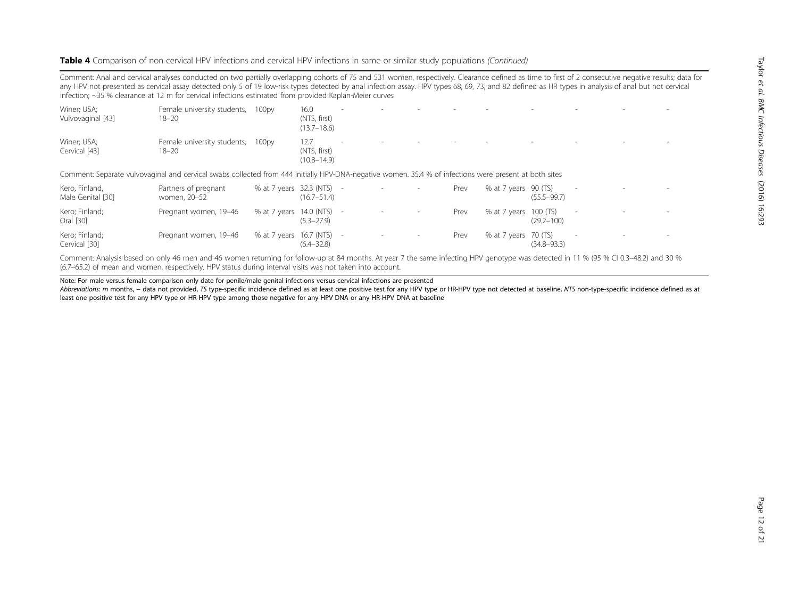## Table 4 Comparison of non-cervical HPV infections and cervical HPV infections in same or similar study populations (Continued)

Comment: Anal and cervical analyses conducted on two partially overlapping cohorts of 75 and 531 women, respectively. Clearance defined as time to first of 2 consecutive negative results; data for any HPV not presented as cervical assay detected only 5 of 19 low-risk types detected by anal infection assay. HPV types 68, 69, 73, and 82 defined as HR types in analysis of anal but not cervical infection; ~35 % clearance at 12 m for cervical infections estimated from provided Kaplan-Meier curves

| Winer; USA;<br>Vulvovaginal [43]    | Female university students,<br>$18 - 20$                                                                                                               | 100 <sub>py</sub>         | 16.0<br>(NTS, first)<br>$(13.7 - 18.6)$ |            |  |      |                       |                 |                          |  |
|-------------------------------------|--------------------------------------------------------------------------------------------------------------------------------------------------------|---------------------------|-----------------------------------------|------------|--|------|-----------------------|-----------------|--------------------------|--|
| Winer; USA;<br>Cervical [43]        | Female university students,<br>$18 - 20$                                                                                                               | 100 <sub>py</sub>         | 12.7<br>(NTS, first)<br>$(10.8 - 14.9)$ |            |  |      |                       |                 |                          |  |
|                                     | Comment: Separate vulvovaginal and cervical swabs collected from 444 initially HPV-DNA-negative women, 35.4 % of infections were present at both sites |                           |                                         |            |  |      |                       |                 |                          |  |
| Kero, Finland,<br>Male Genital [30] | Partners of pregnant<br>women, 20-52                                                                                                                   | % at 7 years 32.3 (NTS) - | $(16.7 - 51.4)$                         |            |  | Prev | % at 7 years 90 (TS)  | $(55.5 - 99.7)$ | $\overline{\phantom{a}}$ |  |
| Kero; Finland;<br>Oral [30]         | Pregnant women, 19-46                                                                                                                                  | % at 7 years              | $14.0$ (NTS) $-$<br>$(5.3 - 27.9)$      |            |  | Prev | % at 7 years 100 (TS) | $(29.2 - 100)$  | $\sim$                   |  |
| Kero; Finland;                      | Pregnant women, 19-46                                                                                                                                  | % at 7 years              | 16.7 (NTS)                              | $\sim$ $-$ |  | Prev | % at 7 years 70 (TS)  |                 | $\sim$                   |  |

Comment: Analysis based on only 46 men and 46 women returning for follow-up at 84 months. At year 7 the same infecting HPV genotype was detected in 11 % (95 % CI 0.3–48.2) and 30 % (6.7–65.2) of mean and women, respectively. HPV status during interval visits was not taken into account.

Note: For male versus female comparison only date for penile/male genital infections versus cervical infections are presented

Abbreviations: m months, - data not provided, TS type-specific incidence defined as at least one positive test for any HPV type or HR-HPV type not detected at baseline, NTS non-type-specific incidence defined as at least one positive test for any HPV type or HR-HPV type among those negative for any HPV DNA or any HR-HPV DNA at baseline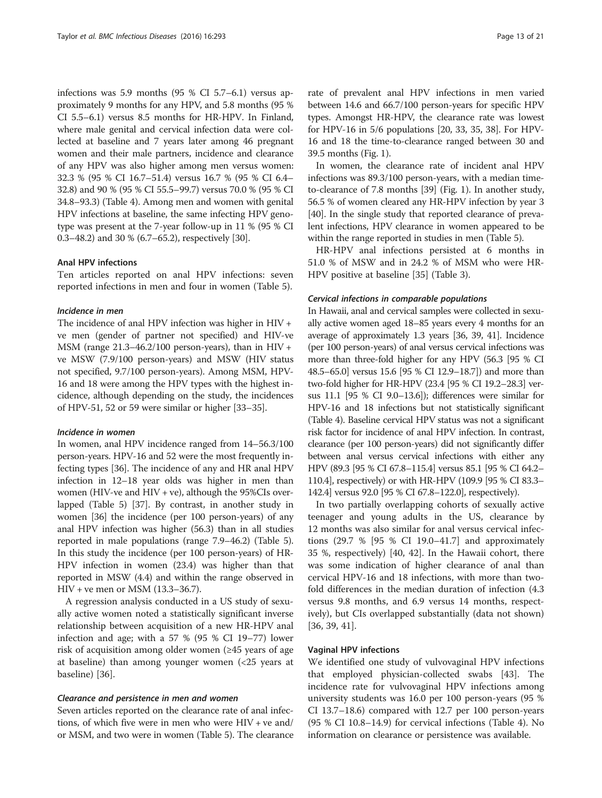infections was 5.9 months (95 % CI 5.7–6.1) versus approximately 9 months for any HPV, and 5.8 months (95 % CI 5.5–6.1) versus 8.5 months for HR-HPV. In Finland, where male genital and cervical infection data were collected at baseline and 7 years later among 46 pregnant women and their male partners, incidence and clearance of any HPV was also higher among men versus women: 32.3 % (95 % CI 16.7–51.4) versus 16.7 % (95 % CI 6.4– 32.8) and 90 % (95 % CI 55.5–99.7) versus 70.0 % (95 % CI 34.8–93.3) (Table [4\)](#page-10-0). Among men and women with genital HPV infections at baseline, the same infecting HPV genotype was present at the 7-year follow-up in 11 % (95 % CI 0.3–48.2) and 30 % (6.7–65.2), respectively [[30](#page-19-0)].

## Anal HPV infections

Ten articles reported on anal HPV infections: seven reported infections in men and four in women (Table [5\)](#page-13-0).

## Incidence in men

The incidence of anal HPV infection was higher in HIV + ve men (gender of partner not specified) and HIV-ve MSM (range  $21.3-46.2/100$  person-years), than in HIV + ve MSW (7.9/100 person-years) and MSW (HIV status not specified, 9.7/100 person-years). Among MSM, HPV-16 and 18 were among the HPV types with the highest incidence, although depending on the study, the incidences of HPV-51, 52 or 59 were similar or higher [\[33](#page-19-0)–[35](#page-19-0)].

## Incidence in women

In women, anal HPV incidence ranged from 14–56.3/100 person-years. HPV-16 and 52 were the most frequently infecting types [\[36\]](#page-19-0). The incidence of any and HR anal HPV infection in 12–18 year olds was higher in men than women (HIV-ve and HIV + ve), although the  $95\%$ CIs overlapped (Table [5\)](#page-13-0) [[37](#page-19-0)]. By contrast, in another study in women [\[36\]](#page-19-0) the incidence (per 100 person-years) of any anal HPV infection was higher (56.3) than in all studies reported in male populations (range 7.9–46.2) (Table [5](#page-13-0)). In this study the incidence (per 100 person-years) of HR-HPV infection in women (23.4) was higher than that reported in MSW (4.4) and within the range observed in HIV + ve men or MSM (13.3–36.7).

A regression analysis conducted in a US study of sexually active women noted a statistically significant inverse relationship between acquisition of a new HR-HPV anal infection and age; with a 57 % (95 % CI 19–77) lower risk of acquisition among older women (≥45 years of age at baseline) than among younger women (<25 years at baseline) [[36\]](#page-19-0).

### Clearance and persistence in men and women

Seven articles reported on the clearance rate of anal infections, of which five were in men who were HIV + ve and/ or MSM, and two were in women (Table [5\)](#page-13-0). The clearance

rate of prevalent anal HPV infections in men varied between 14.6 and 66.7/100 person-years for specific HPV types. Amongst HR-HPV, the clearance rate was lowest for HPV-16 in 5/6 populations [[20](#page-19-0), [33](#page-19-0), [35](#page-19-0), [38](#page-19-0)]. For HPV-16 and 18 the time-to-clearance ranged between 30 and 39.5 months (Fig. [1\)](#page-8-0).

In women, the clearance rate of incident anal HPV infections was 89.3/100 person-years, with a median timeto-clearance of 7.8 months [[39](#page-19-0)] (Fig. [1\)](#page-8-0). In another study, 56.5 % of women cleared any HR-HPV infection by year 3 [[40](#page-19-0)]. In the single study that reported clearance of prevalent infections, HPV clearance in women appeared to be within the range reported in studies in men (Table [5](#page-13-0)).

HR-HPV anal infections persisted at 6 months in 51.0 % of MSW and in 24.2 % of MSM who were HR-HPV positive at baseline [\[35\]](#page-19-0) (Table [3](#page-9-0)).

#### Cervical infections in comparable populations

In Hawaii, anal and cervical samples were collected in sexually active women aged 18–85 years every 4 months for an average of approximately 1.3 years [\[36, 39](#page-19-0), [41\]](#page-19-0). Incidence (per 100 person-years) of anal versus cervical infections was more than three-fold higher for any HPV (56.3 [95 % CI 48.5–65.0] versus 15.6 [95 % CI 12.9–18.7]) and more than two-fold higher for HR-HPV (23.4 [95 % CI 19.2–28.3] versus 11.1 [95 % CI 9.0–13.6]); differences were similar for HPV-16 and 18 infections but not statistically significant (Table [4](#page-10-0)). Baseline cervical HPV status was not a significant risk factor for incidence of anal HPV infection. In contrast, clearance (per 100 person-years) did not significantly differ between anal versus cervical infections with either any HPV (89.3 [95 % CI 67.8–115.4] versus 85.1 [95 % CI 64.2– 110.4], respectively) or with HR-HPV (109.9 [95 % CI 83.3– 142.4] versus 92.0 [95 % CI 67.8–122.0], respectively).

In two partially overlapping cohorts of sexually active teenager and young adults in the US, clearance by 12 months was also similar for anal versus cervical infections (29.7 % [95 % CI 19.0–41.7] and approximately 35 %, respectively) [[40, 42](#page-19-0)]. In the Hawaii cohort, there was some indication of higher clearance of anal than cervical HPV-16 and 18 infections, with more than twofold differences in the median duration of infection (4.3 versus 9.8 months, and 6.9 versus 14 months, respectively), but CIs overlapped substantially (data not shown) [[36, 39, 41\]](#page-19-0).

## Vaginal HPV infections

We identified one study of vulvovaginal HPV infections that employed physician-collected swabs [[43\]](#page-19-0). The incidence rate for vulvovaginal HPV infections among university students was 16.0 per 100 person-years (95 % CI 13.7–18.6) compared with 12.7 per 100 person-years (95 % CI 10.8–14.9) for cervical infections (Table [4](#page-10-0)). No information on clearance or persistence was available.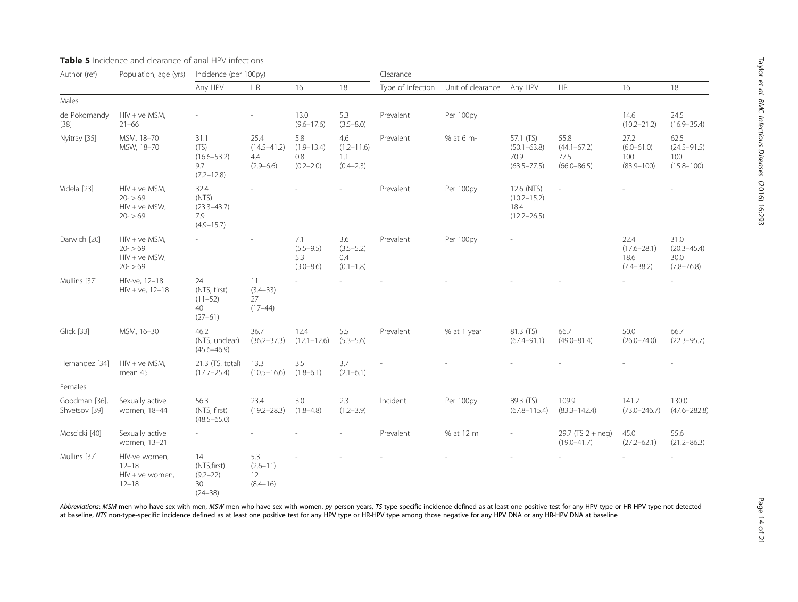| Author (ref)                              | Population, age (yrs)                                        | Incidence (per 100py)                                     |                                                 |                                               |                                               | Clearance         |                   |                                                          |                                                    |                                                   |                                                   |
|-------------------------------------------|--------------------------------------------------------------|-----------------------------------------------------------|-------------------------------------------------|-----------------------------------------------|-----------------------------------------------|-------------------|-------------------|----------------------------------------------------------|----------------------------------------------------|---------------------------------------------------|---------------------------------------------------|
|                                           |                                                              | Any HPV                                                   | HR                                              | 16                                            | 18                                            | Type of Infection | Unit of clearance | Any HPV                                                  | HR                                                 | 16                                                | 18                                                |
| Males                                     |                                                              |                                                           |                                                 |                                               |                                               |                   |                   |                                                          |                                                    |                                                   |                                                   |
| de Pokomandy<br>$[38]$                    | $HIV + ve MSM$ ,<br>$21 - 66$                                |                                                           |                                                 | 13.0<br>$(9.6 - 17.6)$                        | 5.3<br>$(3.5 - 8.0)$                          | Prevalent         | Per 100py         |                                                          |                                                    | 14.6<br>$(10.2 - 21.2)$                           | 24.5<br>$(16.9 - 35.4)$                           |
| Nyitray [35]                              | MSM, 18-70<br>MSW, 18-70                                     | 31.1<br>(TS)<br>$(16.6 - 53.2)$<br>9.7<br>$(7.2 - 12.8)$  | 25.4<br>$(14.5 - 41.2)$<br>4.4<br>$(2.9 - 6.6)$ | 5.8<br>$(1.9 - 13.4)$<br>0.8<br>$(0.2 - 2.0)$ | 4.6<br>$(1.2 - 11.6)$<br>1.1<br>$(0.4 - 2.3)$ | Prevalent         | % at 6 m-         | 57.1 (TS)<br>$(50.1 - 63.8)$<br>70.9<br>$(63.5 - 77.5)$  | 55.8<br>$(44.1 - 67.2)$<br>77.5<br>$(66.0 - 86.5)$ | 27.2<br>$(6.0 - 61.0)$<br>100<br>$(83.9 - 100)$   | 62.5<br>$(24.5 - 91.5)$<br>100<br>$(15.8 - 100)$  |
| Videla [23]                               | $HIV + ve MSM,$<br>$20 - 59$<br>$HIV + ve MSW,$<br>$20 - 59$ | 32.4<br>(NTS)<br>$(23.3 - 43.7)$<br>7.9<br>$(4.9 - 15.7)$ |                                                 |                                               |                                               | Prevalent         | Per 100py         | 12.6 (NTS)<br>$(10.2 - 15.2)$<br>18.4<br>$(12.2 - 26.5)$ |                                                    |                                                   |                                                   |
| Darwich [20]                              | $HIV + ve MSM,$<br>$20 - 59$<br>$HIV + ve MSW,$<br>$20 - 59$ |                                                           |                                                 | 7.1<br>$(5.5 - 9.5)$<br>5.3<br>$(3.0 - 8.6)$  | 3.6<br>$(3.5 - 5.2)$<br>0.4<br>$(0.1 - 1.8)$  | Prevalent         | Per 100py         |                                                          |                                                    | 22.4<br>$(17.6 - 28.1)$<br>18.6<br>$(7.4 - 38.2)$ | 31.0<br>$(20.3 - 45.4)$<br>30.0<br>$(7.8 - 76.8)$ |
| Mullins [37]                              | HIV-ve, 12-18<br>$HIV + ve, 12-18$                           | 24<br>(NTS, first)<br>$(11 - 52)$<br>40<br>$(27 - 61)$    | 11<br>$(3.4 - 33)$<br>27<br>$(17-44)$           |                                               |                                               |                   |                   |                                                          |                                                    |                                                   |                                                   |
| <b>Glick [33]</b>                         | MSM, 16-30                                                   | 46.2<br>(NTS, unclear)<br>$(45.6 - 46.9)$                 | 36.7<br>$(36.2 - 37.3)$                         | 12.4<br>$(12.1 - 12.6)$                       | 5.5<br>$(5.3 - 5.6)$                          | Prevalent         | % at 1 year       | 81.3 (TS)<br>$(67.4 - 91.1)$                             | 66.7<br>$(49.0 - 81.4)$                            | 50.0<br>$(26.0 - 74.0)$                           | 66.7<br>$(22.3 - 95.7)$                           |
| Hernandez [34]                            | $HIV + ve MSM$ ,<br>mean 45                                  | 21.3 (TS, total)<br>$(17.7 - 25.4)$                       | 13.3<br>$(10.5 - 16.6)$                         | 3.5<br>$(1.8 - 6.1)$                          | 3.7<br>$(2.1 - 6.1)$                          |                   |                   |                                                          |                                                    |                                                   |                                                   |
| Females                                   |                                                              |                                                           |                                                 |                                               |                                               |                   |                   |                                                          |                                                    |                                                   |                                                   |
| Goodman [36],<br>Shvetsov <sup>[39]</sup> | Sexually active<br>women, 18-44                              | 56.3<br>(NTS, first)<br>$(48.5 - 65.0)$                   | 23.4<br>$(19.2 - 28.3)$                         | 3.0<br>$(1.8 - 4.8)$                          | 2.3<br>$(1.2 - 3.9)$                          | Incident          | Per 100py         | 89.3 (TS)<br>$(67.8 - 115.4)$                            | 109.9<br>$(83.3 - 142.4)$                          | 141.2<br>$(73.0 - 246.7)$                         | 130.0<br>$(47.6 - 282.8)$                         |
| Moscicki [40]                             | Sexually active<br>women, 13-21                              |                                                           |                                                 |                                               |                                               | Prevalent         | % at 12 m         |                                                          | 29.7 (TS $2 + neg$ )<br>$(19.0 - 41.7)$            | 45.0<br>$(27.2 - 62.1)$                           | 55.6<br>$(21.2 - 86.3)$                           |
| Mullins [37]                              | HIV-ve women,<br>$12 - 18$<br>HIV + ve women,<br>$12 - 18$   | 14<br>(NTS, first)<br>$(9.2 - 22)$<br>30<br>$(24 - 38)$   | 5.3<br>$(2.6 - 11)$<br>12<br>$(8.4 - 16)$       |                                               |                                               |                   |                   |                                                          |                                                    |                                                   |                                                   |

## <span id="page-13-0"></span>Table 5 Incidence and clearance of anal HPV infections

Abbreviations: MSM men who have sex with men, MSW men who have sex with women, py person-years, TS type-specific incidence defined as at least one positive test for any HPV type or HR-HPV type not detected at baseline, NTS non-type-specific incidence defined as at least one positive test for any HPV type or HR-HPV type among those negative for any HPV DNA or any HR-HPV DNA at baseline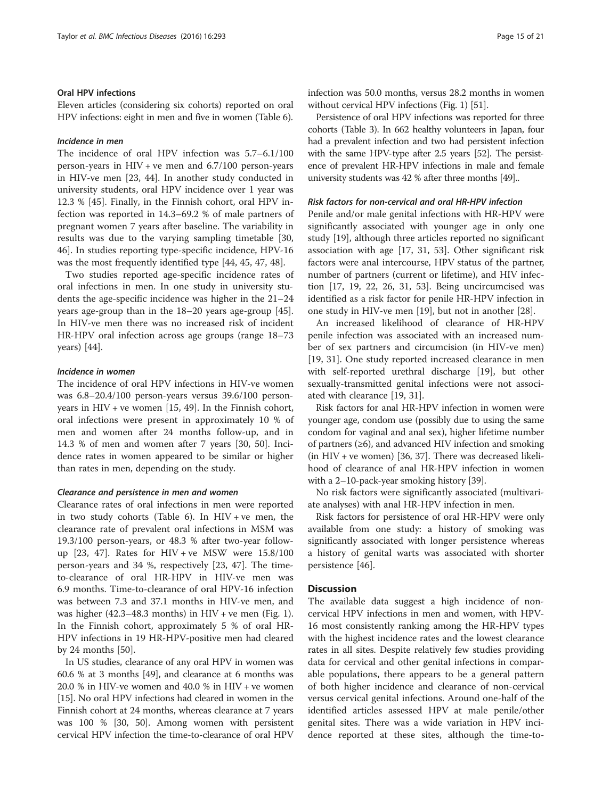## Oral HPV infections

Eleven articles (considering six cohorts) reported on oral HPV infections: eight in men and five in women (Table [6\)](#page-15-0).

## Incidence in men

The incidence of oral HPV infection was 5.7–6.1/100 person-years in HIV + ve men and 6.7/100 person-years in HIV-ve men [\[23](#page-19-0), [44\]](#page-19-0). In another study conducted in university students, oral HPV incidence over 1 year was 12.3 % [[45](#page-19-0)]. Finally, in the Finnish cohort, oral HPV infection was reported in 14.3–69.2 % of male partners of pregnant women 7 years after baseline. The variability in results was due to the varying sampling timetable [[30](#page-19-0), [46\]](#page-19-0). In studies reporting type-specific incidence, HPV-16 was the most frequently identified type [[44, 45](#page-19-0), [47](#page-19-0), [48](#page-19-0)].

Two studies reported age-specific incidence rates of oral infections in men. In one study in university students the age-specific incidence was higher in the 21–24 years age-group than in the 18–20 years age-group [\[45](#page-19-0)]. In HIV-ve men there was no increased risk of incident HR-HPV oral infection across age groups (range 18–73 years) [[44](#page-19-0)].

## Incidence in women

The incidence of oral HPV infections in HIV-ve women was 6.8–20.4/100 person-years versus 39.6/100 personyears in HIV + ve women [\[15, 49\]](#page-19-0). In the Finnish cohort, oral infections were present in approximately 10 % of men and women after 24 months follow-up, and in 14.3 % of men and women after 7 years [[30,](#page-19-0) [50\]](#page-20-0). Incidence rates in women appeared to be similar or higher than rates in men, depending on the study.

### Clearance and persistence in men and women

Clearance rates of oral infections in men were reported in two study cohorts (Table [6](#page-15-0)). In  $HIV + ve$  men, the clearance rate of prevalent oral infections in MSM was 19.3/100 person-years, or 48.3 % after two-year followup  $[23, 47]$  $[23, 47]$ . Rates for HIV + ve MSW were  $15.8/100$ person-years and 34 %, respectively [\[23](#page-19-0), [47](#page-19-0)]. The timeto-clearance of oral HR-HPV in HIV-ve men was 6.9 months. Time-to-clearance of oral HPV-16 infection was between 7.3 and 37.1 months in HIV-ve men, and was higher  $(42.3-48.3 \text{ months})$  in HIV + ve men (Fig. [1](#page-8-0)). In the Finnish cohort, approximately 5 % of oral HR-HPV infections in 19 HR-HPV-positive men had cleared by 24 months [[50\]](#page-20-0).

In US studies, clearance of any oral HPV in women was 60.6 % at 3 months [\[49\]](#page-19-0), and clearance at 6 months was 20.0 % in HIV-ve women and 40.0 % in HIV + ve women [[15](#page-19-0)]. No oral HPV infections had cleared in women in the Finnish cohort at 24 months, whereas clearance at 7 years was 100 % [[30](#page-19-0), [50](#page-20-0)]. Among women with persistent cervical HPV infection the time-to-clearance of oral HPV infection was 50.0 months, versus 28.2 months in women without cervical HPV infections (Fig. [1\)](#page-8-0) [[51](#page-20-0)].

Persistence of oral HPV infections was reported for three cohorts (Table [3](#page-9-0)). In 662 healthy volunteers in Japan, four had a prevalent infection and two had persistent infection with the same HPV-type after 2.5 years [\[52\]](#page-20-0). The persistence of prevalent HR-HPV infections in male and female university students was 42 % after three months [[49](#page-19-0)]..

## Risk factors for non-cervical and oral HR-HPV infection

Penile and/or male genital infections with HR-HPV were significantly associated with younger age in only one study [[19\]](#page-19-0), although three articles reported no significant association with age [\[17, 31](#page-19-0), [53](#page-20-0)]. Other significant risk factors were anal intercourse, HPV status of the partner, number of partners (current or lifetime), and HIV infection [[17, 19](#page-19-0), [22, 26](#page-19-0), [31](#page-19-0), [53\]](#page-20-0). Being uncircumcised was identified as a risk factor for penile HR-HPV infection in one study in HIV-ve men [\[19\]](#page-19-0), but not in another [[28\]](#page-19-0).

An increased likelihood of clearance of HR-HPV penile infection was associated with an increased number of sex partners and circumcision (in HIV-ve men) [[19, 31](#page-19-0)]. One study reported increased clearance in men with self-reported urethral discharge [\[19\]](#page-19-0), but other sexually-transmitted genital infections were not associated with clearance [[19, 31\]](#page-19-0).

Risk factors for anal HR-HPV infection in women were younger age, condom use (possibly due to using the same condom for vaginal and anal sex), higher lifetime number of partners  $(\geq 6)$ , and advanced HIV infection and smoking (in HIV + ve women) [\[36, 37\]](#page-19-0). There was decreased likelihood of clearance of anal HR-HPV infection in women with a 2–10-pack-year smoking history [\[39](#page-19-0)].

No risk factors were significantly associated (multivariate analyses) with anal HR-HPV infection in men.

Risk factors for persistence of oral HR-HPV were only available from one study: a history of smoking was significantly associated with longer persistence whereas a history of genital warts was associated with shorter persistence [\[46\]](#page-19-0).

## **Discussion**

The available data suggest a high incidence of noncervical HPV infections in men and women, with HPV-16 most consistently ranking among the HR-HPV types with the highest incidence rates and the lowest clearance rates in all sites. Despite relatively few studies providing data for cervical and other genital infections in comparable populations, there appears to be a general pattern of both higher incidence and clearance of non-cervical versus cervical genital infections. Around one-half of the identified articles assessed HPV at male penile/other genital sites. There was a wide variation in HPV incidence reported at these sites, although the time-to-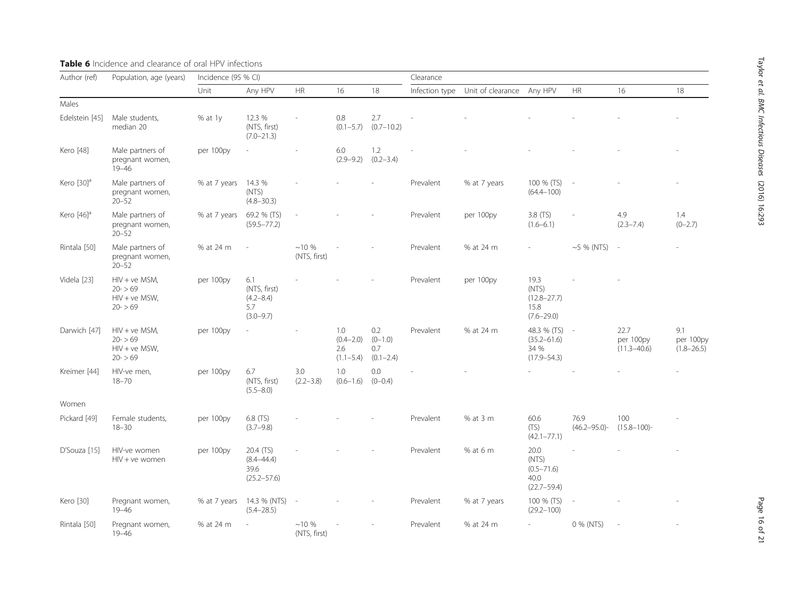## <span id="page-15-0"></span>Table 6 Incidence and clearance of oral HPV infections

| Author (ref)             | Population, age (years)                                       | Incidence (95 % CI) |                                                              |                          |                                              |                                          | Clearance |                                          |                                                            |                           |                                      |                                    |
|--------------------------|---------------------------------------------------------------|---------------------|--------------------------------------------------------------|--------------------------|----------------------------------------------|------------------------------------------|-----------|------------------------------------------|------------------------------------------------------------|---------------------------|--------------------------------------|------------------------------------|
|                          |                                                               | Unit                | Any HPV                                                      | HR                       | 16                                           | 18                                       |           | Infection type Unit of clearance Any HPV |                                                            | HR                        | 16                                   | 18                                 |
| Males                    |                                                               |                     |                                                              |                          |                                              |                                          |           |                                          |                                                            |                           |                                      |                                    |
| Edelstein [45]           | Male students,<br>median 20                                   | % at 1y             | 12.3 %<br>(NTS, first)<br>$(7.0 - 21.3)$                     |                          | 0.8<br>$(0.1 - 5.7)$                         | 2.7<br>$(0.7 - 10.2)$                    |           |                                          |                                                            |                           |                                      |                                    |
| Kero [48]                | Male partners of<br>pregnant women,<br>$19 - 46$              | per 100py           | ×.                                                           | $\overline{a}$           | 6.0<br>$(2.9 - 9.2)$                         | 1.2<br>$(0.2 - 3.4)$                     |           |                                          |                                                            |                           |                                      |                                    |
| Kero $[30]$ <sup>a</sup> | Male partners of<br>pregnant women,<br>$20 - 52$              | % at 7 years        | 14.3 %<br>(NTS)<br>$(4.8 - 30.3)$                            |                          |                                              |                                          | Prevalent | % at 7 years                             | 100 % (TS)<br>$(64.4 - 100)$                               | $\sim$                    |                                      |                                    |
| Kero $[46]$ <sup>a</sup> | Male partners of<br>pregnant women,<br>$20 - 52$              | % at 7 years        | 69.2 % (TS)<br>$(59.5 - 77.2)$                               |                          |                                              |                                          | Prevalent | per 100py                                | $3.8$ (TS)<br>$(1.6 - 6.1)$                                |                           | 4.9<br>$(2.3 - 7.4)$                 | 1.4<br>$(0-2.7)$                   |
| Rintala [50]             | Male partners of<br>pregnant women,<br>$20 - 52$              | % at 24 m           |                                                              | $~10\%$<br>(NTS, first)  |                                              |                                          | Prevalent | % at 24 m                                |                                                            | $~10$ % (NTS) -           |                                      |                                    |
| Videla [23]              | $HIV + ve MSM$ ,<br>$20 - 59$<br>$HIV + ve MSW,$<br>$20 - 59$ | per 100py           | 6.1<br>(NTS, first)<br>$(4.2 - 8.4)$<br>5.7<br>$(3.0 - 9.7)$ |                          |                                              |                                          | Prevalent | per 100py                                | 19.3<br>(NTS)<br>$(12.8 - 27.7)$<br>15.8<br>$(7.6 - 29.0)$ |                           |                                      |                                    |
| Darwich [47]             | $HIV + ve MSM$ ,<br>$20 - 59$<br>$HIV + ve MSW,$<br>$20 - 59$ | per 100py           |                                                              |                          | 1.0<br>$(0.4 - 2.0)$<br>2.6<br>$(1.1 - 5.4)$ | 0.2<br>$(0-1.0)$<br>0.7<br>$(0.1 - 2.4)$ | Prevalent | % at 24 m                                | 48.3 % (TS)<br>$(35.2 - 61.6)$<br>34 %<br>$(17.9 - 54.3)$  | $\sim$                    | 22.7<br>per 100py<br>$(11.3 - 40.6)$ | 9.1<br>per 100py<br>$(1.8 - 26.5)$ |
| Kreimer [44]             | HIV-ve men,<br>$18 - 70$                                      | per 100py           | 6.7<br>(NTS, first)<br>$(5.5 - 8.0)$                         | 3.0<br>$(2.2 - 3.8)$     | 1.0<br>$(0.6 - 1.6)$                         | 0.0<br>$(0 - 0.4)$                       |           |                                          |                                                            |                           |                                      |                                    |
| Women                    |                                                               |                     |                                                              |                          |                                              |                                          |           |                                          |                                                            |                           |                                      |                                    |
| Pickard [49]             | Female students,<br>$18 - 30$                                 | per 100py           | 6.8 (TS)<br>$(3.7 - 9.8)$                                    |                          |                                              |                                          | Prevalent | % at 3 m                                 | 60.6<br>(TS)<br>$(42.1 - 77.1)$                            | 76.9<br>$(46.2 - 95.0)$ - | 100<br>$(15.8 - 100)$ -              |                                    |
| D'Souza [15]             | HIV-ve women<br>$HIV + ve$ women                              | per 100py           | 20.4 (TS)<br>$(8.4 - 44.4)$<br>39.6<br>$(25.2 - 57.6)$       |                          |                                              |                                          | Prevalent | % at 6 m                                 | 20.0<br>(NTS)<br>$(0.5 - 71.6)$<br>40.0<br>$(22.7 - 59.4)$ |                           |                                      |                                    |
| Kero [30]                | Pregnant women,<br>$19 - 46$                                  | % at 7 years        | 14.3 % (NTS)<br>$(5.4 - 28.5)$                               | $\overline{\phantom{a}}$ |                                              |                                          | Prevalent | % at 7 years                             | 100 % (TS)<br>$(29.2 - 100)$                               |                           |                                      |                                    |
| Rintala [50]             | Pregnant women,<br>$19 - 46$                                  | % at 24 m           |                                                              | $~10\%$<br>(NTS, first)  |                                              |                                          | Prevalent | % at 24 m                                | $\sim$                                                     | 0 % (NTS)                 | $\overline{\phantom{a}}$             |                                    |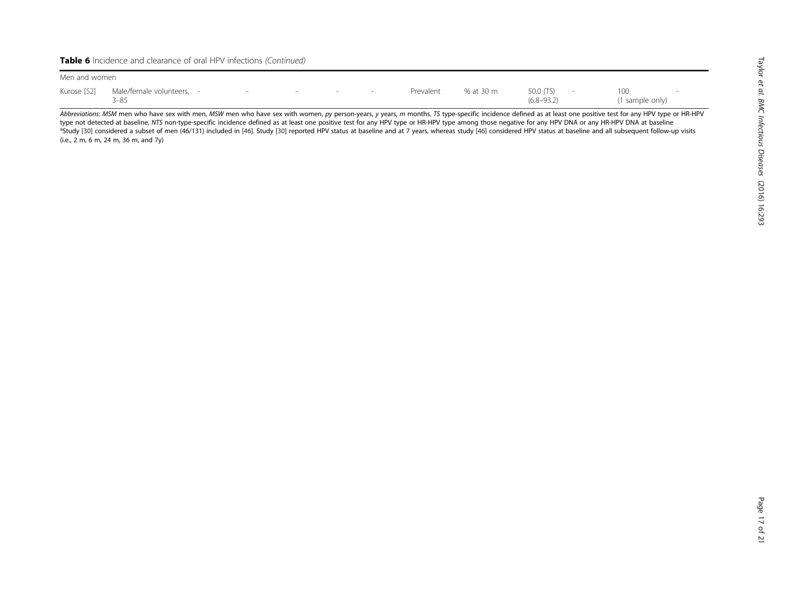Table 6 Incidence and clearance of oral HPV infections (Continued)

| Men and women |                                       |  |  |    |     |  |           |           |                                           |  |                       |  |
|---------------|---------------------------------------|--|--|----|-----|--|-----------|-----------|-------------------------------------------|--|-----------------------|--|
| Kurose [52]   | Male/female volunteers, -<br>$3 - 85$ |  |  | __ | $-$ |  | Prevalent | % at 30 m | 50.0 (TS)<br>$\sim$ $-$<br>$(6.8 - 93.2)$ |  | 100<br>1 sample only) |  |

Abbreviations: MSM men who have sex with men, MSW men who have sex with women, py person-years, y years, m months, TS type-specific incidence defined as at least one positive test for any HPV type or HR-HPV type not detected at baseline, NTS non-type-specific incidence defined as at least one positive test for any HPV type or HR-HPV type among those negative for any HPV DNA or any HR-HPV DNA or any HR-HPV DNA at baseline <sup>a</sup>Study [[30\]](#page-19-0) considered a subset of men (46/131) included in [[46\]](#page-19-0). Study [\[30](#page-19-0)] reported HPV status at baseline and at 7 years, whereas study [46] considered HPV status at baseline and all subsequent follow-up visits (i.e., 2 m, 6 m, 24 m, 36 m, and 7y)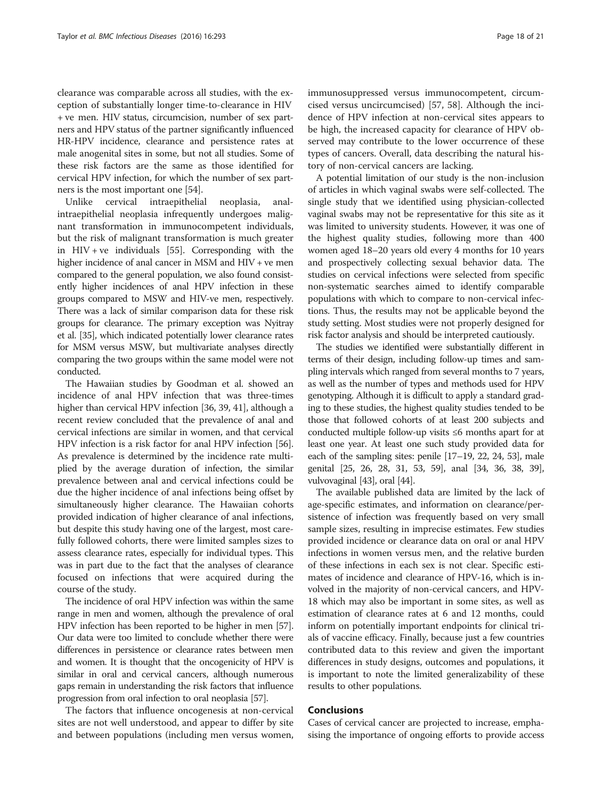clearance was comparable across all studies, with the exception of substantially longer time-to-clearance in HIV + ve men. HIV status, circumcision, number of sex partners and HPV status of the partner significantly influenced HR-HPV incidence, clearance and persistence rates at male anogenital sites in some, but not all studies. Some of these risk factors are the same as those identified for cervical HPV infection, for which the number of sex partners is the most important one [\[54\]](#page-20-0).

Unlike cervical intraepithelial neoplasia, analintraepithelial neoplasia infrequently undergoes malignant transformation in immunocompetent individuals, but the risk of malignant transformation is much greater in HIV + ve individuals [[55\]](#page-20-0). Corresponding with the higher incidence of anal cancer in MSM and HIV + ve men compared to the general population, we also found consistently higher incidences of anal HPV infection in these groups compared to MSW and HIV-ve men, respectively. There was a lack of similar comparison data for these risk groups for clearance. The primary exception was Nyitray et al. [\[35\]](#page-19-0), which indicated potentially lower clearance rates for MSM versus MSW, but multivariate analyses directly comparing the two groups within the same model were not conducted.

The Hawaiian studies by Goodman et al. showed an incidence of anal HPV infection that was three-times higher than cervical HPV infection [\[36, 39](#page-19-0), [41](#page-19-0)], although a recent review concluded that the prevalence of anal and cervical infections are similar in women, and that cervical HPV infection is a risk factor for anal HPV infection [[56](#page-20-0)]. As prevalence is determined by the incidence rate multiplied by the average duration of infection, the similar prevalence between anal and cervical infections could be due the higher incidence of anal infections being offset by simultaneously higher clearance. The Hawaiian cohorts provided indication of higher clearance of anal infections, but despite this study having one of the largest, most carefully followed cohorts, there were limited samples sizes to assess clearance rates, especially for individual types. This was in part due to the fact that the analyses of clearance focused on infections that were acquired during the course of the study.

The incidence of oral HPV infection was within the same range in men and women, although the prevalence of oral HPV infection has been reported to be higher in men [\[57](#page-20-0)]. Our data were too limited to conclude whether there were differences in persistence or clearance rates between men and women. It is thought that the oncogenicity of HPV is similar in oral and cervical cancers, although numerous gaps remain in understanding the risk factors that influence progression from oral infection to oral neoplasia [\[57](#page-20-0)].

The factors that influence oncogenesis at non-cervical sites are not well understood, and appear to differ by site and between populations (including men versus women, immunosuppressed versus immunocompetent, circumcised versus uncircumcised) [\[57](#page-20-0), [58\]](#page-20-0). Although the incidence of HPV infection at non-cervical sites appears to be high, the increased capacity for clearance of HPV observed may contribute to the lower occurrence of these types of cancers. Overall, data describing the natural history of non-cervical cancers are lacking.

A potential limitation of our study is the non-inclusion of articles in which vaginal swabs were self-collected. The single study that we identified using physician-collected vaginal swabs may not be representative for this site as it was limited to university students. However, it was one of the highest quality studies, following more than 400 women aged 18–20 years old every 4 months for 10 years and prospectively collecting sexual behavior data. The studies on cervical infections were selected from specific non-systematic searches aimed to identify comparable populations with which to compare to non-cervical infections. Thus, the results may not be applicable beyond the study setting. Most studies were not properly designed for risk factor analysis and should be interpreted cautiously.

The studies we identified were substantially different in terms of their design, including follow-up times and sampling intervals which ranged from several months to 7 years, as well as the number of types and methods used for HPV genotyping. Although it is difficult to apply a standard grading to these studies, the highest quality studies tended to be those that followed cohorts of at least 200 subjects and conducted multiple follow-up visits ≤6 months apart for at least one year. At least one such study provided data for each of the sampling sites: penile [[17](#page-19-0)–[19](#page-19-0), [22](#page-19-0), [24,](#page-19-0) [53](#page-20-0)], male genital [[25, 26](#page-19-0), [28, 31](#page-19-0), [53, 59\]](#page-20-0), anal [[34](#page-19-0), [36, 38](#page-19-0), [39](#page-19-0)], vulvovaginal [[43](#page-19-0)], oral [\[44\]](#page-19-0).

The available published data are limited by the lack of age-specific estimates, and information on clearance/persistence of infection was frequently based on very small sample sizes, resulting in imprecise estimates. Few studies provided incidence or clearance data on oral or anal HPV infections in women versus men, and the relative burden of these infections in each sex is not clear. Specific estimates of incidence and clearance of HPV-16, which is involved in the majority of non-cervical cancers, and HPV-18 which may also be important in some sites, as well as estimation of clearance rates at 6 and 12 months, could inform on potentially important endpoints for clinical trials of vaccine efficacy. Finally, because just a few countries contributed data to this review and given the important differences in study designs, outcomes and populations, it is important to note the limited generalizability of these results to other populations.

## Conclusions

Cases of cervical cancer are projected to increase, emphasising the importance of ongoing efforts to provide access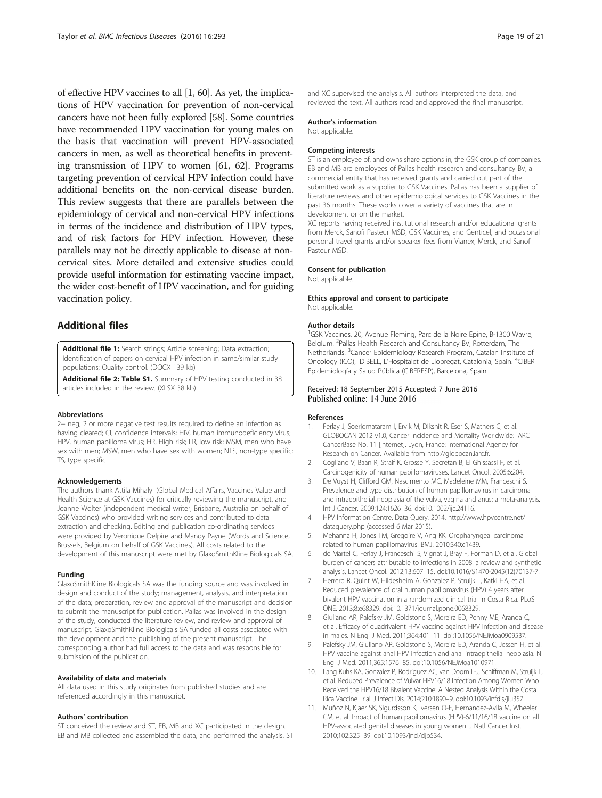<span id="page-18-0"></span>of effective HPV vaccines to all [1, [60](#page-20-0)]. As yet, the implications of HPV vaccination for prevention of non-cervical cancers have not been fully explored [\[58\]](#page-20-0). Some countries have recommended HPV vaccination for young males on the basis that vaccination will prevent HPV-associated cancers in men, as well as theoretical benefits in preventing transmission of HPV to women [\[61, 62](#page-20-0)]. Programs targeting prevention of cervical HPV infection could have additional benefits on the non-cervical disease burden. This review suggests that there are parallels between the epidemiology of cervical and non-cervical HPV infections in terms of the incidence and distribution of HPV types, and of risk factors for HPV infection. However, these parallels may not be directly applicable to disease at noncervical sites. More detailed and extensive studies could provide useful information for estimating vaccine impact, the wider cost-benefit of HPV vaccination, and for guiding vaccination policy.

## Additional files

[Additional file 1:](dx.doi.org/10.1186/s12879-016-1633-9) Search strings; Article screening; Data extraction; Identification of papers on cervical HPV infection in same/similar study populations; Quality control. (DOCX 139 kb)

[Additional file 2: Table S1.](dx.doi.org/10.1186/s12879-016-1633-9) Summary of HPV testing conducted in 38 articles included in the review. (XLSX 38 kb)

#### Abbreviations

2+ neg, 2 or more negative test results required to define an infection as having cleared; CI, confidence intervals; HIV, human immunodeficiency virus; HPV, human papilloma virus; HR, High risk; LR, low risk; MSM, men who have sex with men; MSW, men who have sex with women; NTS, non-type specific; TS, type specific

#### Acknowledgements

The authors thank Attila Mihalyi (Global Medical Affairs, Vaccines Value and Health Science at GSK Vaccines) for critically reviewing the manuscript, and Joanne Wolter (independent medical writer, Brisbane, Australia on behalf of GSK Vaccines) who provided writing services and contributed to data extraction and checking. Editing and publication co-ordinating services were provided by Veronique Delpire and Mandy Payne (Words and Science, Brussels, Belgium on behalf of GSK Vaccines). All costs related to the development of this manuscript were met by GlaxoSmithKline Biologicals SA.

#### Funding

GlaxoSmithKline Biologicals SA was the funding source and was involved in design and conduct of the study; management, analysis, and interpretation of the data; preparation, review and approval of the manuscript and decision to submit the manuscript for publication. Pallas was involved in the design of the study, conducted the literature review, and review and approval of manuscript. GlaxoSmithKline Biologicals SA funded all costs associated with the development and the publishing of the present manuscript. The corresponding author had full access to the data and was responsible for submission of the publication.

#### Availability of data and materials

All data used in this study originates from published studies and are referenced accordingly in this manuscript.

#### Authors' contribution

ST conceived the review and ST, EB, MB and XC participated in the design. EB and MB collected and assembled the data, and performed the analysis. ST and XC supervised the analysis. All authors interpreted the data, and reviewed the text. All authors read and approved the final manuscript.

#### Author's information

Not applicable.

#### Competing interests

ST is an employee of, and owns share options in, the GSK group of companies. EB and MB are employees of Pallas health research and consultancy BV, a commercial entity that has received grants and carried out part of the submitted work as a supplier to GSK Vaccines. Pallas has been a supplier of literature reviews and other epidemiological services to GSK Vaccines in the past 36 months. These works cover a variety of vaccines that are in development or on the market.

XC reports having received institutional research and/or educational grants from Merck, Sanofi Pasteur MSD, GSK Vaccines, and Genticel, and occasional personal travel grants and/or speaker fees from Vianex, Merck, and Sanofi Pasteur MSD.

## Consent for publication

Not applicable.

#### Ethics approval and consent to participate Not applicable.

#### Author details

<sup>1</sup>GSK Vaccines, 20, Avenue Fleming, Parc de la Noire Epine, B-1300 Wavre, Belgium. <sup>2</sup>Pallas Health Research and Consultancy BV, Rotterdam, The Netherlands. <sup>3</sup> Cancer Epidemiology Research Program, Catalan Institute of Oncology (ICO), IDIBELL, L'Hospitalet de Llobregat, Catalonia, Spain. <sup>4</sup>CIBER Epidemiología y Salud Pública (CIBERESP), Barcelona, Spain.

## Received: 18 September 2015 Accepted: 7 June 2016 Published online: 14 June 2016

#### References

- 1. Ferlay J, Soerjomataram I, Ervik M, Dikshit R, Eser S, Mathers C, et al. GLOBOCAN 2012 v1.0, Cancer Incidence and Mortality Worldwide: IARC CancerBase No. 11 [Internet]. Lyon, France: International Agency for Research on Cancer. Available from [http://globocan.iarc.fr.](http://globocan.iarc.fr)
- 2. Cogliano V, Baan R, Straif K, Grosse Y, Secretan B, El Ghissassi F, et al. Carcinogenicity of human papillomaviruses. Lancet Oncol. 2005;6:204.
- 3. De Vuyst H, Clifford GM, Nascimento MC, Madeleine MM, Franceschi S. Prevalence and type distribution of human papillomavirus in carcinoma and intraepithelial neoplasia of the vulva, vagina and anus: a meta-analysis. Int J Cancer. 2009;124:1626–36. doi:[10.1002/ijc.24116](http://dx.doi.org/10.1002/ijc.24116).
- 4. HPV Information Centre. Data Query. 2014. [http://www.hpvcentre.net/](http://www.hpvcentre.net/dataquery.php) [dataquery.php](http://www.hpvcentre.net/dataquery.php) (accessed 6 Mar 2015).
- 5. Mehanna H, Jones TM, Gregoire V, Ang KK. Oropharyngeal carcinoma related to human papillomavirus. BMJ. 2010;340:c1439.
- 6. de Martel C, Ferlay J, Franceschi S, Vignat J, Bray F, Forman D, et al. Global burden of cancers attributable to infections in 2008: a review and synthetic analysis. Lancet Oncol. 2012;13:607–15. doi:[10.1016/S1470-2045\(12\)70137-7.](http://dx.doi.org/10.1016/S1470-2045(12)70137-7)
- 7. Herrero R, Quint W, Hildesheim A, Gonzalez P, Struijk L, Katki HA, et al. Reduced prevalence of oral human papillomavirus (HPV) 4 years after bivalent HPV vaccination in a randomized clinical trial in Costa Rica. PLoS ONE. 2013;8:e68329. doi[:10.1371/journal.pone.0068329.](http://dx.doi.org/10.1371/journal.pone.0068329)
- 8. Giuliano AR, Palefsky JM, Goldstone S, Moreira ED, Penny ME, Aranda C, et al. Efficacy of quadrivalent HPV vaccine against HPV Infection and disease in males. N Engl J Med. 2011;364:401–11. doi[:10.1056/NEJMoa0909537.](http://dx.doi.org/10.1056/NEJMoa0909537)
- Palefsky JM, Giuliano AR, Goldstone S, Moreira ED, Aranda C, Jessen H, et al. HPV vaccine against anal HPV infection and anal intraepithelial neoplasia. N Engl J Med. 2011;365:1576–85. doi:[10.1056/NEJMoa1010971.](http://dx.doi.org/10.1056/NEJMoa1010971)
- 10. Lang Kuhs KA, Gonzalez P, Rodriguez AC, van Doorn L-J, Schiffman M, Struijk L, et al. Reduced Prevalence of Vulvar HPV16/18 Infection Among Women Who Received the HPV16/18 Bivalent Vaccine: A Nested Analysis Within the Costa Rica Vaccine Trial. J Infect Dis. 2014;210:1890–9. doi[:10.1093/infdis/jiu357.](http://dx.doi.org/10.1093/infdis/jiu357)
- 11. Muñoz N, Kjaer SK, Sigurdsson K, Iversen O-E, Hernandez-Avila M, Wheeler CM, et al. Impact of human papillomavirus (HPV)-6/11/16/18 vaccine on all HPV-associated genital diseases in young women. J Natl Cancer Inst. 2010;102:325–39. doi[:10.1093/jnci/djp534](http://dx.doi.org/10.1093/jnci/djp534).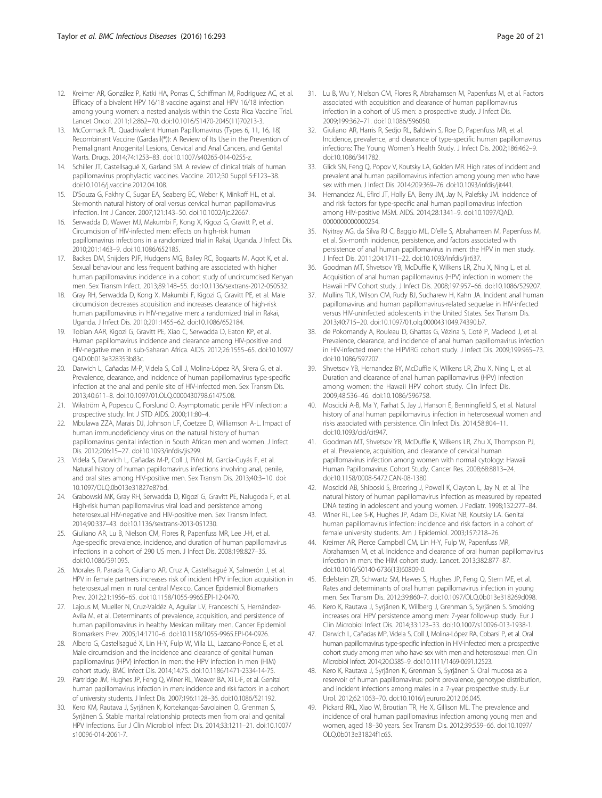- <span id="page-19-0"></span>12. Kreimer AR, González P, Katki HA, Porras C, Schiffman M, Rodriguez AC, et al. Efficacy of a bivalent HPV 16/18 vaccine against anal HPV 16/18 infection among young women: a nested analysis within the Costa Rica Vaccine Trial. Lancet Oncol. 2011;12:862–70. doi[:10.1016/S1470-2045\(11\)70213-3.](http://dx.doi.org/10.1016/S1470-2045(11)70213-3)
- 13. McCormack PL. Quadrivalent Human Papillomavirus (Types 6, 11, 16, 18) Recombinant Vaccine (Gardasil(®)): A Review of Its Use in the Prevention of Premalignant Anogenital Lesions, Cervical and Anal Cancers, and Genital Warts. Drugs. 2014;74:1253–83. doi[:10.1007/s40265-014-0255-z](http://dx.doi.org/10.1007/s40265-014-0255-z).
- 14. Schiller JT, Castellsagué X, Garland SM. A review of clinical trials of human papillomavirus prophylactic vaccines. Vaccine. 2012;30 Suppl 5:F123–38. doi[:10.1016/j.vaccine.2012.04.108](http://dx.doi.org/10.1016/j.vaccine.2012.04.108).
- 15. D'Souza G, Fakhry C, Sugar EA, Seaberg EC, Weber K, Minkoff HL, et al. Six-month natural history of oral versus cervical human papillomavirus infection. Int J Cancer. 2007;121:143–50. doi[:10.1002/ijc.22667.](http://dx.doi.org/10.1002/ijc.22667)
- 16. Serwadda D, Wawer MJ, Makumbi F, Kong X, Kigozi G, Gravitt P, et al. Circumcision of HIV-infected men: effects on high-risk human papillomavirus infections in a randomized trial in Rakai, Uganda. J Infect Dis. 2010;201:1463–9. doi[:10.1086/652185.](http://dx.doi.org/10.1086/652185)
- 17. Backes DM, Snijders PJF, Hudgens MG, Bailey RC, Bogaarts M, Agot K, et al. Sexual behaviour and less frequent bathing are associated with higher human papillomavirus incidence in a cohort study of uncircumcised Kenyan men. Sex Transm Infect. 2013;89:148–55. doi:[10.1136/sextrans-2012-050532](http://dx.doi.org/10.1136/sextrans-2012-050532).
- 18. Gray RH, Serwadda D, Kong X, Makumbi F, Kigozi G, Gravitt PE, et al. Male circumcision decreases acquisition and increases clearance of high-risk human papillomavirus in HIV-negative men: a randomized trial in Rakai, Uganda. J Infect Dis. 2010;201:1455–62. doi:[10.1086/652184](http://dx.doi.org/10.1086/652184).
- 19. Tobian AAR, Kigozi G, Gravitt PE, Xiao C, Serwadda D, Eaton KP, et al. Human papillomavirus incidence and clearance among HIV-positive and HIV-negative men in sub-Saharan Africa. AIDS. 2012;26:1555–65. doi:[10.1097/](http://dx.doi.org/10.1097/QAD.0b013e328353b83c) [QAD.0b013e328353b83c.](http://dx.doi.org/10.1097/QAD.0b013e328353b83c)
- 20. Darwich L, Cañadas M-P, Videla S, Coll J, Molina-López RA, Sirera G, et al. Prevalence, clearance, and incidence of human papillomavirus type-specific infection at the anal and penile site of HIV-infected men. Sex Transm Dis. 2013;40:611–8. doi[:10.1097/01.OLQ.0000430798.61475.08.](http://dx.doi.org/10.1097/01.OLQ.0000430798.61475.08)
- 21. Wikström A, Popescu C, Forslund O. Asymptomatic penile HPV infection: a prospective study. Int J STD AIDS. 2000;11:80–4.
- 22. Mbulawa ZZA, Marais DJ, Johnson LF, Coetzee D, Williamson A-L. Impact of human immunodeficiency virus on the natural history of human papillomavirus genital infection in South African men and women. J Infect Dis. 2012;206:15–27. doi:[10.1093/infdis/jis299](http://dx.doi.org/10.1093/infdis/jis299).
- 23. Videla S, Darwich L, Cañadas M-P, Coll J, Piñol M, García-Cuyás F, et al. Natural history of human papillomavirus infections involving anal, penile, and oral sites among HIV-positive men. Sex Transm Dis. 2013;40:3–10. doi: [10.1097/OLQ.0b013e31827e87bd.](http://dx.doi.org/10.1097/OLQ.0b013e31827e87bd)
- 24. Grabowski MK, Gray RH, Serwadda D, Kigozi G, Gravitt PE, Nalugoda F, et al. High-risk human papillomavirus viral load and persistence among heterosexual HIV-negative and HIV-positive men. Sex Transm Infect. 2014;90:337–43. doi:[10.1136/sextrans-2013-051230](http://dx.doi.org/10.1136/sextrans-2013-051230).
- 25. Giuliano AR, Lu B, Nielson CM, Flores R, Papenfuss MR, Lee J-H, et al. Age-specific prevalence, incidence, and duration of human papillomavirus infections in a cohort of 290 US men. J Infect Dis. 2008;198:827–35. doi[:10.1086/591095.](http://dx.doi.org/10.1086/591095)
- 26. Morales R, Parada R, Giuliano AR, Cruz A, Castellsagué X, Salmerón J, et al. HPV in female partners increases risk of incident HPV infection acquisition in heterosexual men in rural central Mexico. Cancer Epidemiol Biomarkers Prev. 2012;21:1956–65. doi:[10.1158/1055-9965.EPI-12-0470](http://dx.doi.org/10.1158/1055-9965.EPI-12-0470).
- 27. Lajous M, Mueller N, Cruz-Valdéz A, Aguilar LV, Franceschi S, Hernández-Avila M, et al. Determinants of prevalence, acquisition, and persistence of human papillomavirus in healthy Mexican military men. Cancer Epidemiol Biomarkers Prev. 2005;14:1710–6. doi[:10.1158/1055-9965.EPI-04-0926](http://dx.doi.org/10.1158/1055-9965.EPI-04-0926).
- 28. Albero G, Castellsagué X, Lin H-Y, Fulp W, Villa LL, Lazcano-Ponce E, et al. Male circumcision and the incidence and clearance of genital human papillomavirus (HPV) infection in men: the HPV Infection in men (HIM) cohort study. BMC Infect Dis. 2014;14:75. doi:[10.1186/1471-2334-14-75.](http://dx.doi.org/10.1186/1471-2334-14-75)
- 29. Partridge JM, Hughes JP, Feng Q, Winer RL, Weaver BA, Xi L-F, et al. Genital human papillomavirus infection in men: incidence and risk factors in a cohort of university students. J Infect Dis. 2007;196:1128–36. doi[:10.1086/521192.](http://dx.doi.org/10.1086/521192)
- 30. Kero KM, Rautava J, Syrjänen K, Kortekangas-Savolainen O, Grenman S, Syrjänen S. Stable marital relationship protects men from oral and genital HPV infections. Eur J Clin Microbiol Infect Dis. 2014;33:1211–21. doi[:10.1007/](http://dx.doi.org/10.1007/s10096-014-2061-7) [s10096-014-2061-7.](http://dx.doi.org/10.1007/s10096-014-2061-7)
- 31. Lu B, Wu Y, Nielson CM, Flores R, Abrahamsen M, Papenfuss M, et al. Factors associated with acquisition and clearance of human papillomavirus infection in a cohort of US men: a prospective study. J Infect Dis. 2009;199:362–71. doi[:10.1086/596050.](http://dx.doi.org/10.1086/596050)
- 32. Giuliano AR, Harris R, Sedjo RL, Baldwin S, Roe D, Papenfuss MR, et al. Incidence, prevalence, and clearance of type-specific human papillomavirus infections: The Young Women's Health Study. J Infect Dis. 2002;186:462–9. doi[:10.1086/341782.](http://dx.doi.org/10.1086/341782)
- 33. Glick SN, Feng Q, Popov V, Koutsky LA, Golden MR. High rates of incident and prevalent anal human papillomavirus infection among young men who have sex with men. J Infect Dis. 2014;209:369–76. doi:[10.1093/infdis/jit441.](http://dx.doi.org/10.1093/infdis/jit441)
- 34. Hernandez AL, Efird JT, Holly EA, Berry JM, Jay N, Palefsky JM. Incidence of and risk factors for type-specific anal human papillomavirus infection among HIV-positive MSM. AIDS. 2014;28:1341–9. doi[:10.1097/QAD.](http://dx.doi.org/10.1097/QAD.0000000000000254) [0000000000000254](http://dx.doi.org/10.1097/QAD.0000000000000254).
- 35. Nyitray AG, da Silva RJ C, Baggio ML, D'elle S, Abrahamsen M, Papenfuss M, et al. Six-month incidence, persistence, and factors associated with persistence of anal human papillomavirus in men: the HPV in men study. J Infect Dis. 2011;204:1711–22. doi[:10.1093/infdis/jir637](http://dx.doi.org/10.1093/infdis/jir637).
- 36. Goodman MT, Shvetsov YB, McDuffie K, Wilkens LR, Zhu X, Ning L, et al. Acquisition of anal human papillomavirus (HPV) infection in women: the Hawaii HPV Cohort study. J Infect Dis. 2008;197:957–66. doi[:10.1086/529207.](http://dx.doi.org/10.1086/529207)
- 37. Mullins TLK, Wilson CM, Rudy BJ, Sucharew H, Kahn JA. Incident anal human papillomavirus and human papillomavirus-related sequelae in HIV-infected versus HIV-uninfected adolescents in the United States. Sex Transm Dis. 2013;40:715–20. doi:[10.1097/01.olq.0000431049.74390.b7](http://dx.doi.org/10.1097/01.olq.0000431049.74390.b7).
- 38. de Pokomandy A, Rouleau D, Ghattas G, Vézina S, Coté P, Macleod J, et al. Prevalence, clearance, and incidence of anal human papillomavirus infection in HIV-infected men: the HIPVIRG cohort study. J Infect Dis. 2009;199:965–73. doi[:10.1086/597207.](http://dx.doi.org/10.1086/597207)
- 39. Shvetsov YB, Hernandez BY, McDuffie K, Wilkens LR, Zhu X, Ning L, et al. Duration and clearance of anal human papillomavirus (HPV) infection among women: the Hawaii HPV cohort study. Clin Infect Dis. 2009;48:536–46. doi[:10.1086/596758](http://dx.doi.org/10.1086/596758).
- 40. Moscicki A-B, Ma Y, Farhat S, Jay J, Hanson E, Benningfield S, et al. Natural history of anal human papillomavirus infection in heterosexual women and risks associated with persistence. Clin Infect Dis. 2014;58:804–11. doi[:10.1093/cid/cit947.](http://dx.doi.org/10.1093/cid/cit947)
- 41. Goodman MT, Shvetsov YB, McDuffie K, Wilkens LR, Zhu X, Thompson PJ, et al. Prevalence, acquisition, and clearance of cervical human papillomavirus infection among women with normal cytology: Hawaii Human Papillomavirus Cohort Study. Cancer Res. 2008;68:8813–24. doi[:10.1158/0008-5472.CAN-08-1380.](http://dx.doi.org/10.1158/0008-5472.CAN-08-1380)
- 42. Moscicki AB, Shiboski S, Broering J, Powell K, Clayton L, Jay N, et al. The natural history of human papillomavirus infection as measured by repeated DNA testing in adolescent and young women. J Pediatr. 1998;132:277–84.
- 43. Winer RL, Lee S-K, Hughes JP, Adam DE, Kiviat NB, Koutsky LA. Genital human papillomavirus infection: incidence and risk factors in a cohort of female university students. Am J Epidemiol. 2003;157:218–26.
- 44. Kreimer AR, Pierce Campbell CM, Lin H-Y, Fulp W, Papenfuss MR, Abrahamsen M, et al. Incidence and clearance of oral human papillomavirus infection in men: the HIM cohort study. Lancet. 2013;382:877–87. doi[:10.1016/S0140-6736\(13\)60809-0.](http://dx.doi.org/10.1016/S0140-6736(13)60809-0)
- 45. Edelstein ZR, Schwartz SM, Hawes S, Hughes JP, Feng Q, Stern ME, et al. Rates and determinants of oral human papillomavirus infection in young men. Sex Transm Dis. 2012;39:860–7. doi[:10.1097/OLQ.0b013e318269d098.](http://dx.doi.org/10.1097/OLQ.0b013e318269d098)
- 46. Kero K, Rautava J, Syrjänen K, Willberg J, Grenman S, Syrjänen S. Smoking increases oral HPV persistence among men: 7-year follow-up study. Eur J Clin Microbiol Infect Dis. 2014;33:123–33. doi[:10.1007/s10096-013-1938-1.](http://dx.doi.org/10.1007/s10096-013-1938-1)
- 47. Darwich L, Cañadas MP, Videla S, Coll J, Molina-López RA, Cobarsi P, et al. Oral human papillomavirus type-specific infection in HIV-infected men: a prospective cohort study among men who have sex with men and heterosexual men. Clin Microbiol Infect. 2014;20:O585–9. doi:[10.1111/1469-0691.12523](http://dx.doi.org/10.1111/1469-0691.12523).
- 48. Kero K, Rautava J, Syrjänen K, Grenman S, Syrjänen S. Oral mucosa as a reservoir of human papillomavirus: point prevalence, genotype distribution, and incident infections among males in a 7-year prospective study. Eur Urol. 2012;62:1063–70. doi[:10.1016/j.eururo.2012.06.045](http://dx.doi.org/10.1016/j.eururo.2012.06.045).
- 49. Pickard RKL, Xiao W, Broutian TR, He X, Gillison ML. The prevalence and incidence of oral human papillomavirus infection among young men and women, aged 18–30 years. Sex Transm Dis. 2012;39:559–66. doi[:10.1097/](http://dx.doi.org/10.1097/OLQ.0b013e31824f1c65) [OLQ.0b013e31824f1c65.](http://dx.doi.org/10.1097/OLQ.0b013e31824f1c65)